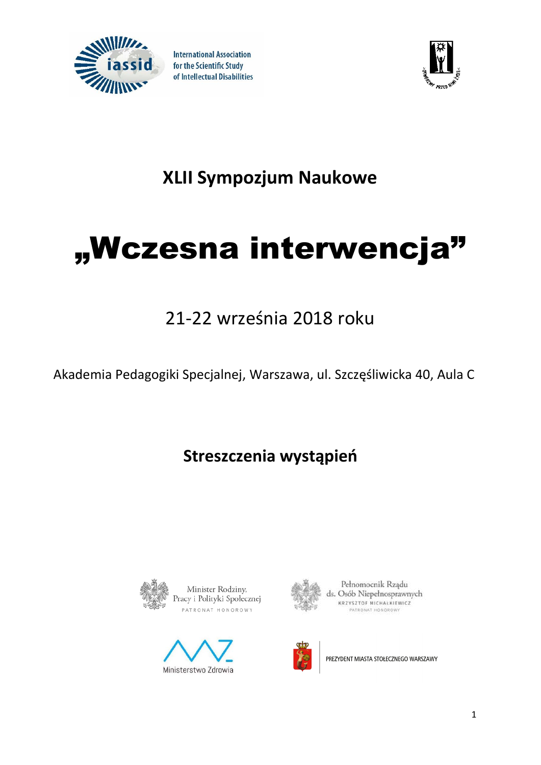

**International Association** for the Scientific Study of Intellectual Disabilities



## **XLII Sympozjum Naukowe**

# "Wczesna interwencja"

## 21-22 września 2018 roku

Akademia Pedagogiki Specjalnej, Warszawa, ul. Szczęśliwicka 40, Aula C

### **Streszczenia wystąpień**







Pełnomocnik Rządu ds. Osób Niepełnosprawnych KRZYSZTOF MICHAŁKIEWICZ PATRONAT HONOROW



PREZYDENT MIASTA STOŁECZNEGO WARSZAWY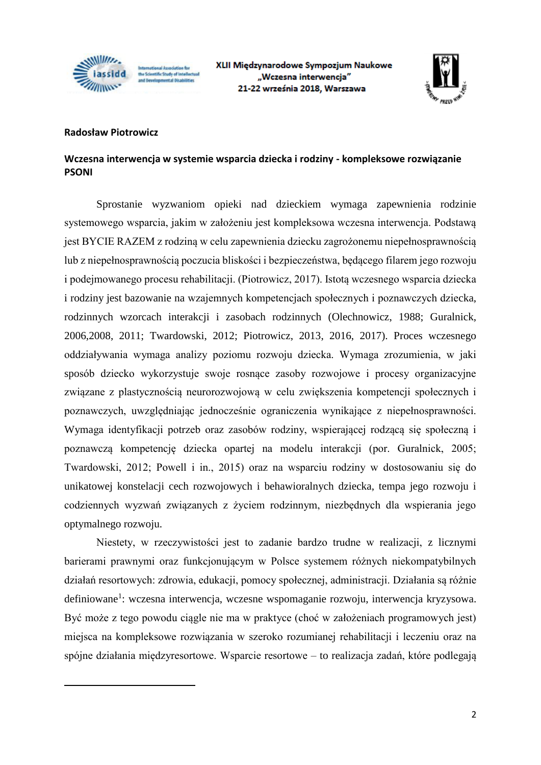

aal Association for the Scientific Study of Intel and Department of Divisions



#### **Radosław Piotrowicz**

1

#### **Wczesna interwencja w systemie wsparcia dziecka i rodziny - kompleksowe rozwiązanie PSONI**

Sprostanie wyzwaniom opieki nad dzieckiem wymaga zapewnienia rodzinie systemowego wsparcia, jakim w założeniu jest kompleksowa wczesna interwencja. Podstawą jest BYCIE RAZEM z rodziną w celu zapewnienia dziecku zagrożonemu niepełnosprawnością lub z niepełnosprawnością poczucia bliskości i bezpieczeństwa, będącego filarem jego rozwoju i podejmowanego procesu rehabilitacji. (Piotrowicz, 2017). Istotą wczesnego wsparcia dziecka i rodziny jest bazowanie na wzajemnych kompetencjach społecznych i poznawczych dziecka, rodzinnych wzorcach interakcji i zasobach rodzinnych (Olechnowicz, 1988; Guralnick, 2006,2008, 2011; Twardowski, 2012; Piotrowicz, 2013, 2016, 2017). Proces wczesnego oddziaływania wymaga analizy poziomu rozwoju dziecka. Wymaga zrozumienia, w jaki sposób dziecko wykorzystuje swoje rosnące zasoby rozwojowe i procesy organizacyjne związane z plastycznością neurorozwojową w celu zwiększenia kompetencji społecznych i poznawczych, uwzględniając jednocześnie ograniczenia wynikające z niepełnosprawności. Wymaga identyfikacji potrzeb oraz zasobów rodziny, wspierającej rodzącą się społeczną i poznawczą kompetencję dziecka opartej na modelu interakcji (por. Guralnick, 2005; Twardowski, 2012; Powell i in., 2015) oraz na wsparciu rodziny w dostosowaniu się do unikatowej konstelacji cech rozwojowych i behawioralnych dziecka, tempa jego rozwoju i codziennych wyzwań związanych z życiem rodzinnym, niezbędnych dla wspierania jego optymalnego rozwoju.

Niestety, w rzeczywistości jest to zadanie bardzo trudne w realizacji, z licznymi barierami prawnymi oraz funkcjonującym w Polsce systemem różnych niekompatybilnych działań resortowych: zdrowia, edukacji, pomocy społecznej, administracji. Działania są różnie definiowane<sup>1</sup>: wczesna interwencja, wczesne wspomaganie rozwoju, interwencja kryzysowa. Być może z tego powodu ciągle nie ma w praktyce (choć w założeniach programowych jest) miejsca na kompleksowe rozwiązania w szeroko rozumianej rehabilitacji i leczeniu oraz na spójne działania międzyresortowe. Wsparcie resortowe – to realizacja zadań, które podlegają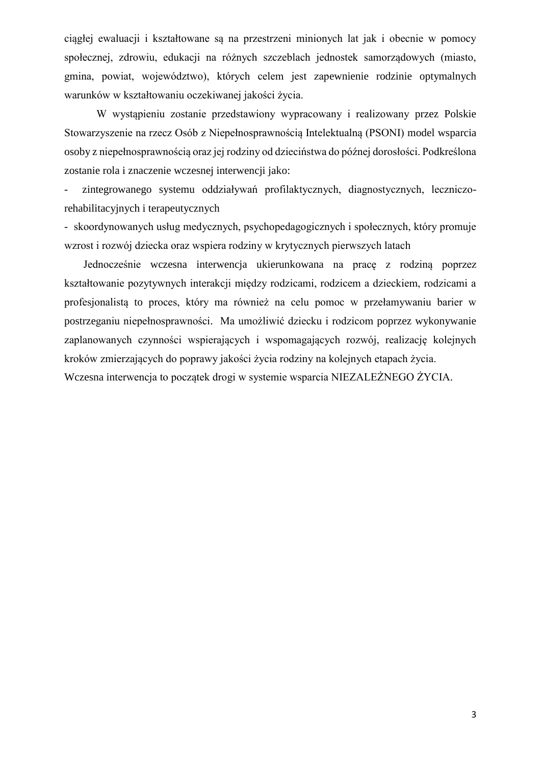ciągłej ewaluacji i kształtowane są na przestrzeni minionych lat jak i obecnie w pomocy społecznej, zdrowiu, edukacji na różnych szczeblach jednostek samorządowych (miasto, gmina, powiat, województwo), których celem jest zapewnienie rodzinie optymalnych warunków w kształtowaniu oczekiwanej jakości życia.

W wystąpieniu zostanie przedstawiony wypracowany i realizowany przez Polskie Stowarzyszenie na rzecz Osób z Niepełnosprawnością Intelektualną (PSONI) model wsparcia osoby z niepełnosprawnością oraz jej rodziny od dzieciństwa do późnej dorosłości. Podkreślona zostanie rola i znaczenie wczesnej interwencji jako:

zintegrowanego systemu oddziaływań profilaktycznych, diagnostycznych, leczniczorehabilitacyjnych i terapeutycznych

- skoordynowanych usług medycznych, psychopedagogicznych i społecznych, który promuje wzrost i rozwój dziecka oraz wspiera rodziny w krytycznych pierwszych latach

Jednocześnie wczesna interwencja ukierunkowana na pracę z rodziną poprzez kształtowanie pozytywnych interakcji między rodzicami, rodzicem a dzieckiem, rodzicami a profesjonalistą to proces, który ma również na celu pomoc w przełamywaniu barier w postrzeganiu niepełnosprawności. Ma umożliwić dziecku i rodzicom poprzez wykonywanie zaplanowanych czynności wspierających i wspomagających rozwój, realizację kolejnych kroków zmierzających do poprawy jakości życia rodziny na kolejnych etapach życia.

Wczesna interwencja to początek drogi w systemie wsparcia NIEZALEŻNEGO ŻYCIA.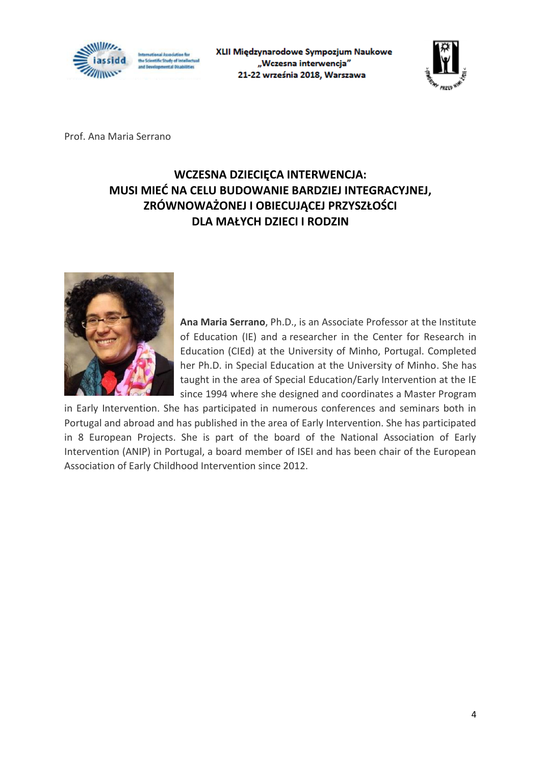

XLII Międzynarodowe Sympozjum Naukowe "Wczesna interwencja" 21-22 września 2018, Warszawa



Prof. Ana Maria Serrano

#### **WCZESNA DZIECIĘCA INTERWENCJA: MUSI MIEĆ NA CELU BUDOWANIE BARDZIEJ INTEGRACYJNEJ, ZRÓWNOWAŻONEJ I OBIECUJĄCEJ PRZYSZŁOŚCI DLA MAŁYCH DZIECI I RODZIN**



**Ana Maria Serrano**, Ph.D., is an Associate Professor at the Institute of Education (IE) and a researcher in the Center for Research in Education (CIEd) at the University of Minho, Portugal. Completed her Ph.D. in Special Education at the University of Minho. She has taught in the area of Special Education/Early Intervention at the IE since 1994 where she designed and coordinates a Master Program

in Early Intervention. She has participated in numerous conferences and seminars both in Portugal and abroad and has published in the area of Early Intervention. She has participated in 8 European Projects. She is part of the board of the National Association of Early Intervention (ANIP) in Portugal, a board member of ISEI and has been chair of the European Association of Early Childhood Intervention since 2012.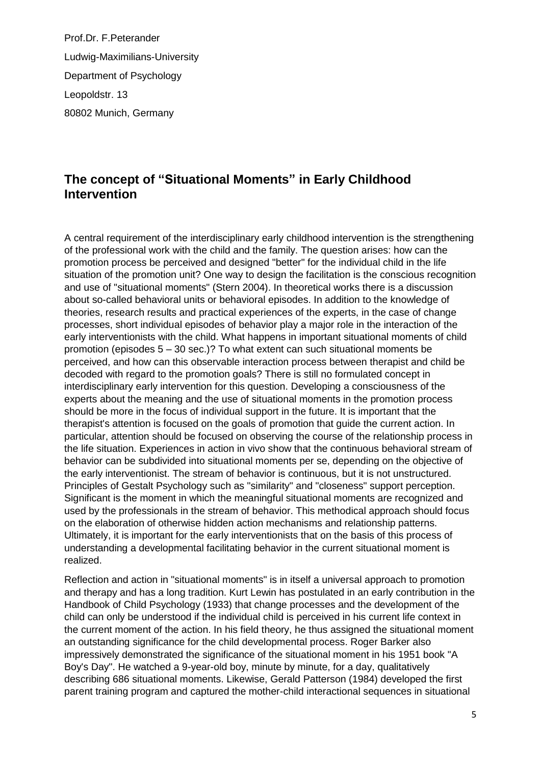Prof.Dr. F.Peterander Ludwig-Maximilians-University Department of Psychology Leopoldstr. 13 80802 Munich, Germany

#### **The concept of "Situational Moments" in Early Childhood Intervention**

A central requirement of the interdisciplinary early childhood intervention is the strengthening of the professional work with the child and the family. The question arises: how can the promotion process be perceived and designed "better" for the individual child in the life situation of the promotion unit? One way to design the facilitation is the conscious recognition and use of "situational moments" (Stern 2004). In theoretical works there is a discussion about so-called behavioral units or behavioral episodes. In addition to the knowledge of theories, research results and practical experiences of the experts, in the case of change processes, short individual episodes of behavior play a major role in the interaction of the early interventionists with the child. What happens in important situational moments of child promotion (episodes 5 – 30 sec.)? To what extent can such situational moments be perceived, and how can this observable interaction process between therapist and child be decoded with regard to the promotion goals? There is still no formulated concept in interdisciplinary early intervention for this question. Developing a consciousness of the experts about the meaning and the use of situational moments in the promotion process should be more in the focus of individual support in the future. It is important that the therapist's attention is focused on the goals of promotion that guide the current action. In particular, attention should be focused on observing the course of the relationship process in the life situation. Experiences in action in vivo show that the continuous behavioral stream of behavior can be subdivided into situational moments per se, depending on the objective of the early interventionist. The stream of behavior is continuous, but it is not unstructured. Principles of Gestalt Psychology such as "similarity" and "closeness" support perception. Significant is the moment in which the meaningful situational moments are recognized and used by the professionals in the stream of behavior. This methodical approach should focus on the elaboration of otherwise hidden action mechanisms and relationship patterns. Ultimately, it is important for the early interventionists that on the basis of this process of understanding a developmental facilitating behavior in the current situational moment is realized.

Reflection and action in "situational moments" is in itself a universal approach to promotion and therapy and has a long tradition. Kurt Lewin has postulated in an early contribution in the Handbook of Child Psychology (1933) that change processes and the development of the child can only be understood if the individual child is perceived in his current life context in the current moment of the action. In his field theory, he thus assigned the situational moment an outstanding significance for the child developmental process. Roger Barker also impressively demonstrated the significance of the situational moment in his 1951 book "A Boy's Day". He watched a 9-year-old boy, minute by minute, for a day, qualitatively describing 686 situational moments. Likewise, Gerald Patterson (1984) developed the first parent training program and captured the mother-child interactional sequences in situational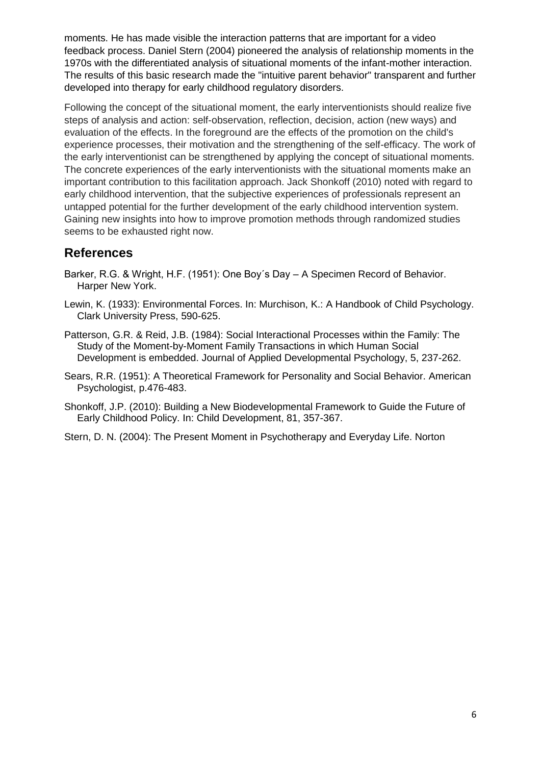moments. He has made visible the interaction patterns that are important for a video feedback process. Daniel Stern (2004) pioneered the analysis of relationship moments in the 1970s with the differentiated analysis of situational moments of the infant-mother interaction. The results of this basic research made the "intuitive parent behavior" transparent and further developed into therapy for early childhood regulatory disorders.

Following the concept of the situational moment, the early interventionists should realize five steps of analysis and action: self-observation, reflection, decision, action (new ways) and evaluation of the effects. In the foreground are the effects of the promotion on the child's experience processes, their motivation and the strengthening of the self-efficacy. The work of the early interventionist can be strengthened by applying the concept of situational moments. The concrete experiences of the early interventionists with the situational moments make an important contribution to this facilitation approach. Jack Shonkoff (2010) noted with regard to early childhood intervention, that the subjective experiences of professionals represent an untapped potential for the further development of the early childhood intervention system. Gaining new insights into how to improve promotion methods through randomized studies seems to be exhausted right now.

#### **References**

- Barker, R.G. & Wright, H.F. (1951): One Boy´s Day A Specimen Record of Behavior. Harper New York.
- Lewin, K. (1933): Environmental Forces. In: Murchison, K.: A Handbook of Child Psychology. Clark University Press, 590-625.
- Patterson, G.R. & Reid, J.B. (1984): Social Interactional Processes within the Family: The Study of the Moment-by-Moment Family Transactions in which Human Social Development is embedded. Journal of Applied Developmental Psychology, 5, 237-262.
- Sears, R.R. (1951): A Theoretical Framework for Personality and Social Behavior. American Psychologist, p.476-483.
- Shonkoff, J.P. (2010): Building a New Biodevelopmental Framework to Guide the Future of Early Childhood Policy. In: Child Development, 81, 357-367.
- Stern, D. N. (2004): The Present Moment in Psychotherapy and Everyday Life. Norton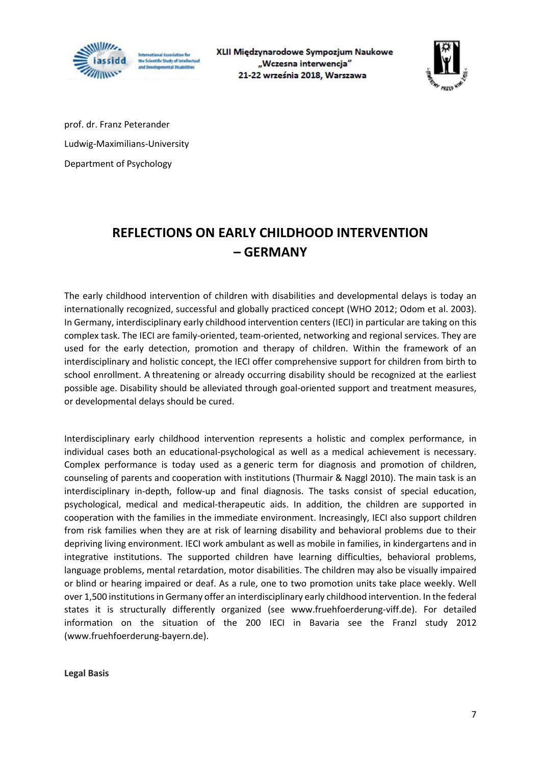

XLII Międzynarodowe Sympozjum Naukowe "Wczesna interwencja" 21-22 września 2018, Warszawa



prof. dr. Franz Peterander Ludwig-Maximilians-University Department of Psychology

### **REFLECTIONS ON EARLY CHILDHOOD INTERVENTION – GERMANY**

The early childhood intervention of children with disabilities and developmental delays is today an internationally recognized, successful and globally practiced concept (WHO 2012; Odom et al. 2003). In Germany, interdisciplinary early childhood intervention centers (IECI) in particular are taking on this complex task. The IECI are family-oriented, team-oriented, networking and regional services. They are used for the early detection, promotion and therapy of children. Within the framework of an interdisciplinary and holistic concept, the IECI offer comprehensive support for children from birth to school enrollment. A threatening or already occurring disability should be recognized at the earliest possible age. Disability should be alleviated through goal-oriented support and treatment measures, or developmental delays should be cured.

Interdisciplinary early childhood intervention represents a holistic and complex performance, in individual cases both an educational-psychological as well as a medical achievement is necessary. Complex performance is today used as a generic term for diagnosis and promotion of children, counseling of parents and cooperation with institutions (Thurmair & Naggl 2010). The main task is an interdisciplinary in-depth, follow-up and final diagnosis. The tasks consist of special education, psychological, medical and medical-therapeutic aids. In addition, the children are supported in cooperation with the families in the immediate environment. Increasingly, IECI also support children from risk families when they are at risk of learning disability and behavioral problems due to their depriving living environment. IECI work ambulant as well as mobile in families, in kindergartens and in integrative institutions. The supported children have learning difficulties, behavioral problems, language problems, mental retardation, motor disabilities. The children may also be visually impaired or blind or hearing impaired or deaf. As a rule, one to two promotion units take place weekly. Well over 1,500 institutions in Germany offer an interdisciplinary early childhood intervention. In the federal states it is structurally differently organized (see www.fruehfoerderung-viff.de). For detailed information on the situation of the 200 IECI in Bavaria see the Franzl study 2012 (www.fruehfoerderung-bayern.de).

**Legal Basis**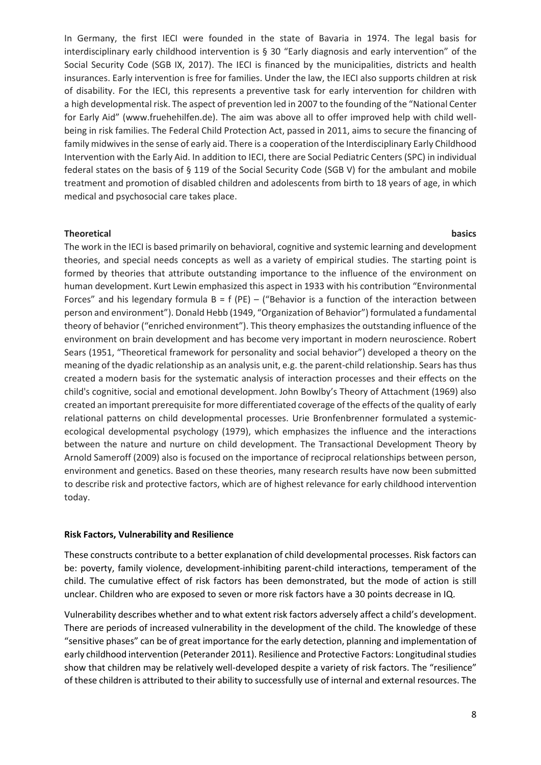In Germany, the first IECI were founded in the state of Bavaria in 1974. The legal basis for interdisciplinary early childhood intervention is § 30 "Early diagnosis and early intervention" of the Social Security Code (SGB IX, 2017). The IECI is financed by the municipalities, districts and health insurances. Early intervention is free for families. Under the law, the IECI also supports children at risk of disability. For the IECI, this represents a preventive task for early intervention for children with a high developmental risk. The aspect of prevention led in 2007 to the founding of the "National Center for Early Aid" (www.fruehehilfen.de). The aim was above all to offer improved help with child wellbeing in risk families. The Federal Child Protection Act, passed in 2011, aims to secure the financing of family midwives in the sense of early aid. There is a cooperation of the Interdisciplinary Early Childhood Intervention with the Early Aid. In addition to IECI, there are Social Pediatric Centers (SPC) in individual federal states on the basis of § 119 of the Social Security Code (SGB V) for the ambulant and mobile treatment and promotion of disabled children and adolescents from birth to 18 years of age, in which medical and psychosocial care takes place.

#### **Theoretical** basics **basics**

The work in the IECI is based primarily on behavioral, cognitive and systemic learning and development theories, and special needs concepts as well as a variety of empirical studies. The starting point is formed by theories that attribute outstanding importance to the influence of the environment on human development. Kurt Lewin emphasized this aspect in 1933 with his contribution "Environmental Forces" and his legendary formula  $B = f (PE) -$  ("Behavior is a function of the interaction between person and environment"). Donald Hebb (1949, "Organization of Behavior") formulated a fundamental theory of behavior ("enriched environment"). This theory emphasizes the outstanding influence of the environment on brain development and has become very important in modern neuroscience. Robert Sears (1951, "Theoretical framework for personality and social behavior") developed a theory on the meaning of the dyadic relationship as an analysis unit, e.g. the parent-child relationship. Sears has thus created a modern basis for the systematic analysis of interaction processes and their effects on the child's cognitive, social and emotional development. John Bowlby's Theory of Attachment (1969) also created an important prerequisite for more differentiated coverage of the effects of the quality of early relational patterns on child developmental processes. Urie Bronfenbrenner formulated a systemicecological developmental psychology (1979), which emphasizes the influence and the interactions between the nature and nurture on child development. The Transactional Development Theory by Arnold Sameroff (2009) also is focused on the importance of reciprocal relationships between person, environment and genetics. Based on these theories, many research results have now been submitted to describe risk and protective factors, which are of highest relevance for early childhood intervention today.

#### **Risk Factors, Vulnerability and Resilience**

These constructs contribute to a better explanation of child developmental processes. Risk factors can be: poverty, family violence, development-inhibiting parent-child interactions, temperament of the child. The cumulative effect of risk factors has been demonstrated, but the mode of action is still unclear. Children who are exposed to seven or more risk factors have a 30 points decrease in IQ.

Vulnerability describes whether and to what extent risk factors adversely affect a child's development. There are periods of increased vulnerability in the development of the child. The knowledge of these "sensitive phases" can be of great importance for the early detection, planning and implementation of early childhood intervention (Peterander 2011). Resilience and Protective Factors: Longitudinal studies show that children may be relatively well-developed despite a variety of risk factors. The "resilience" of these children is attributed to their ability to successfully use of internal and external resources. The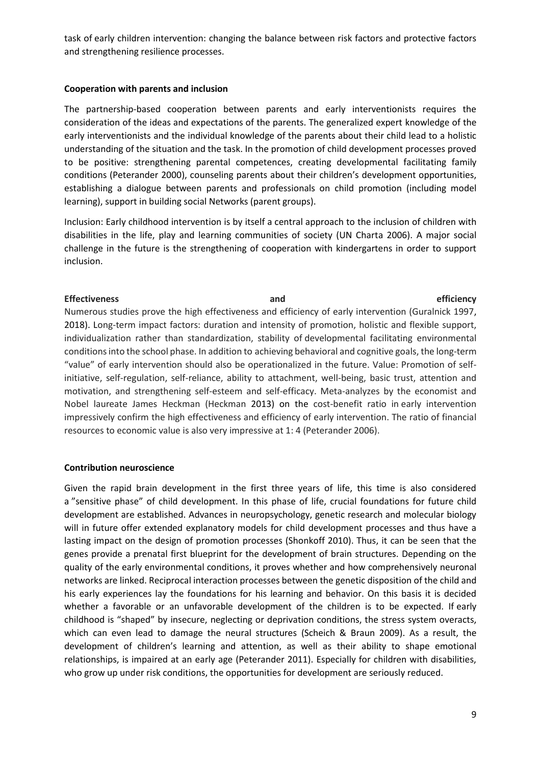task of early children intervention: changing the balance between risk factors and protective factors and strengthening resilience processes.

#### **Cooperation with parents and inclusion**

The partnership-based cooperation between parents and early interventionists requires the consideration of the ideas and expectations of the parents. The generalized expert knowledge of the early interventionists and the individual knowledge of the parents about their child lead to a holistic understanding of the situation and the task. In the promotion of child development processes proved to be positive: strengthening parental competences, creating developmental facilitating family conditions (Peterander 2000), counseling parents about their children's development opportunities, establishing a dialogue between parents and professionals on child promotion (including model learning), support in building social Networks (parent groups).

Inclusion: Early childhood intervention is by itself a central approach to the inclusion of children with disabilities in the life, play and learning communities of society (UN Charta 2006). A major social challenge in the future is the strengthening of cooperation with kindergartens in order to support inclusion.

#### **Effectiveness and efficiency**

Numerous studies prove the high effectiveness and efficiency of early intervention (Guralnick 1997, 2018). Long-term impact factors: duration and intensity of promotion, holistic and flexible support, individualization rather than standardization, stability of developmental facilitating environmental conditions into the school phase. In addition to achieving behavioral and cognitive goals, the long-term "value" of early intervention should also be operationalized in the future. Value: Promotion of selfinitiative, self-regulation, self-reliance, ability to attachment, well-being, basic trust, attention and motivation, and strengthening self-esteem and self-efficacy. Meta-analyzes by the economist and Nobel laureate James Heckman (Heckman 2013) on the cost-benefit ratio in early intervention impressively confirm the high effectiveness and efficiency of early intervention. The ratio of financial resources to economic value is also very impressive at 1: 4 (Peterander 2006).

#### **Contribution neuroscience**

Given the rapid brain development in the first three years of life, this time is also considered a "sensitive phase" of child development. In this phase of life, crucial foundations for future child development are established. Advances in neuropsychology, genetic research and molecular biology will in future offer extended explanatory models for child development processes and thus have a lasting impact on the design of promotion processes (Shonkoff 2010). Thus, it can be seen that the genes provide a prenatal first blueprint for the development of brain structures. Depending on the quality of the early environmental conditions, it proves whether and how comprehensively neuronal networks are linked. Reciprocal interaction processes between the genetic disposition of the child and his early experiences lay the foundations for his learning and behavior. On this basis it is decided whether a favorable or an unfavorable development of the children is to be expected. If early childhood is "shaped" by insecure, neglecting or deprivation conditions, the stress system overacts, which can even lead to damage the neural structures (Scheich & Braun 2009). As a result, the development of children's learning and attention, as well as their ability to shape emotional relationships, is impaired at an early age (Peterander 2011). Especially for children with disabilities, who grow up under risk conditions, the opportunities for development are seriously reduced.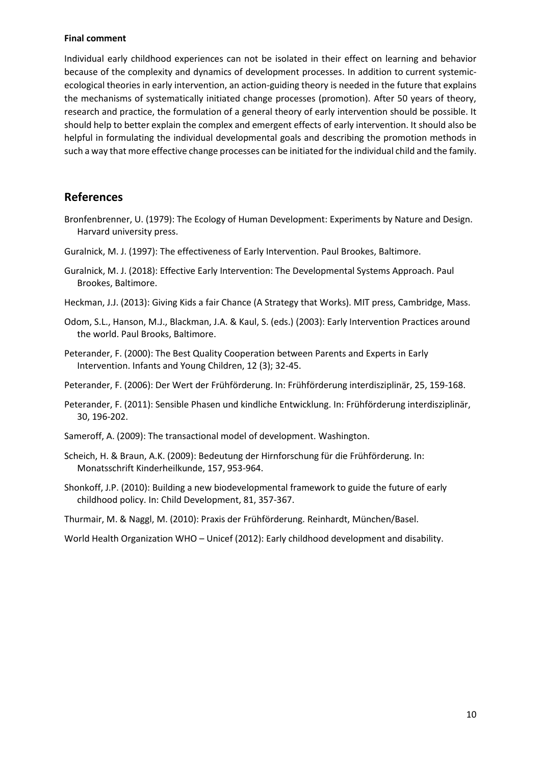#### **Final comment**

Individual early childhood experiences can not be isolated in their effect on learning and behavior because of the complexity and dynamics of development processes. In addition to current systemicecological theories in early intervention, an action-guiding theory is needed in the future that explains the mechanisms of systematically initiated change processes (promotion). After 50 years of theory, research and practice, the formulation of a general theory of early intervention should be possible. It should help to better explain the complex and emergent effects of early intervention. It should also be helpful in formulating the individual developmental goals and describing the promotion methods in such a way that more effective change processes can be initiated for the individual child and the family.

#### **References**

- Bronfenbrenner, U. (1979): The Ecology of Human Development: Experiments by Nature and Design. Harvard university press.
- Guralnick, M. J. (1997): The effectiveness of Early Intervention. Paul Brookes, Baltimore.
- Guralnick, M. J. (2018): Effective Early Intervention: The Developmental Systems Approach. Paul Brookes, Baltimore.
- Heckman, J.J. (2013): Giving Kids a fair Chance (A Strategy that Works). MIT press, Cambridge, Mass.
- Odom, S.L., Hanson, M.J., Blackman, J.A. & Kaul, S. (eds.) (2003): Early Intervention Practices around the world. Paul Brooks, Baltimore.
- Peterander, F. (2000): The Best Quality Cooperation between Parents and Experts in Early Intervention. Infants and Young Children, 12 (3); 32-45.
- Peterander, F. (2006): Der Wert der Frühförderung. In: Frühförderung interdisziplinär, 25, 159-168.
- Peterander, F. (2011): Sensible Phasen und kindliche Entwicklung. In: Frühförderung interdisziplinär, 30, 196-202.
- Sameroff, A. (2009): The transactional model of development. Washington.
- Scheich, H. & Braun, A.K. (2009): Bedeutung der Hirnforschung für die Frühförderung. In: Monatsschrift Kinderheilkunde, 157, 953-964.
- Shonkoff, J.P. (2010): Building a new biodevelopmental framework to guide the future of early childhood policy. In: Child Development, 81, 357-367.

Thurmair, M. & Naggl, M. (2010): Praxis der Frühförderung. Reinhardt, München/Basel.

World Health Organization WHO – Unicef (2012): Early childhood development and disability.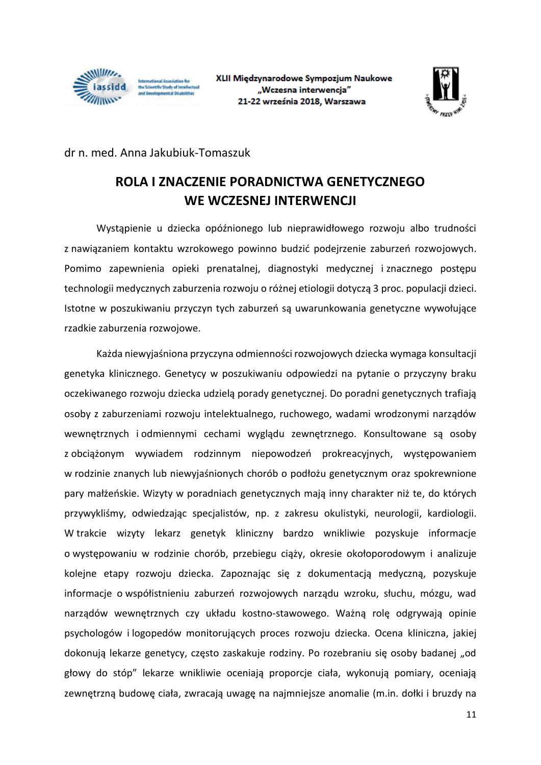

iternational Association fo<br>he Scientific Study of Intell of Departmentant of Divisions



dr n. med. Anna Jakubiuk-Tomaszuk

### **ROLA I ZNACZENIE PORADNICTWA GENETYCZNEGO WE WCZESNEJ INTERWENCJI**

Wystąpienie u dziecka opóźnionego lub nieprawidłowego rozwoju albo trudności z nawiązaniem kontaktu wzrokowego powinno budzić podejrzenie zaburzeń rozwojowych. Pomimo zapewnienia opieki prenatalnej, diagnostyki medycznej i znacznego postępu technologii medycznych zaburzenia rozwoju o różnej etiologii dotyczą 3 proc. populacji dzieci. Istotne w poszukiwaniu przyczyn tych zaburzeń są uwarunkowania genetyczne wywołujące rzadkie zaburzenia rozwojowe.

Każda niewyjaśniona przyczyna odmienności rozwojowych dziecka wymaga konsultacji genetyka klinicznego. Genetycy w poszukiwaniu odpowiedzi na pytanie o przyczyny braku oczekiwanego rozwoju dziecka udzielą porady genetycznej. Do poradni genetycznych trafiają osoby z zaburzeniami rozwoju intelektualnego, ruchowego, wadami wrodzonymi narządów wewnętrznych i odmiennymi cechami wyglądu zewnętrznego. Konsultowane są osoby z obciążonym wywiadem rodzinnym niepowodzeń prokreacyjnych, występowaniem w rodzinie znanych lub niewyjaśnionych chorób o podłożu genetycznym oraz spokrewnione pary małżeńskie. Wizyty w poradniach genetycznych mają inny charakter niż te, do których przywykliśmy, odwiedzając specjalistów, np. z zakresu okulistyki, neurologii, kardiologii. W trakcie wizyty lekarz genetyk kliniczny bardzo wnikliwie pozyskuje informacje o występowaniu w rodzinie chorób, przebiegu ciąży, okresie okołoporodowym i analizuje kolejne etapy rozwoju dziecka. Zapoznając się z dokumentacją medyczną, pozyskuje informacje o współistnieniu zaburzeń rozwojowych narządu wzroku, słuchu, mózgu, wad narządów wewnętrznych czy układu kostno-stawowego. Ważną rolę odgrywają opinie psychologów i logopedów monitorujących proces rozwoju dziecka. Ocena kliniczna, jakiej dokonują lekarze genetycy, często zaskakuje rodziny. Po rozebraniu się osoby badanej "od głowy do stóp" lekarze wnikliwie oceniają proporcje ciała, wykonują pomiary, oceniają zewnętrzną budowę ciała, zwracają uwagę na najmniejsze anomalie (m.in. dołki i bruzdy na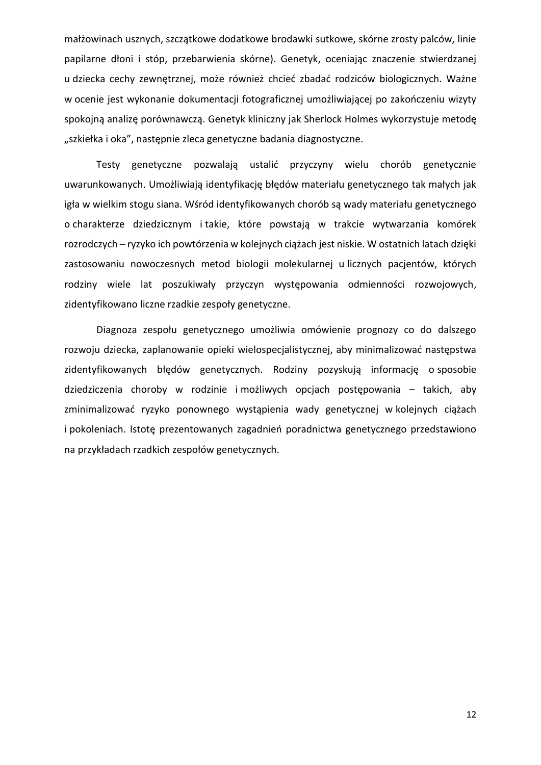małżowinach usznych, szczątkowe dodatkowe brodawki sutkowe, skórne zrosty palców, linie papilarne dłoni i stóp, przebarwienia skórne). Genetyk, oceniając znaczenie stwierdzanej u dziecka cechy zewnętrznej, może również chcieć zbadać rodziców biologicznych. Ważne w ocenie jest wykonanie dokumentacji fotograficznej umożliwiającej po zakończeniu wizyty spokojną analizę porównawczą. Genetyk kliniczny jak Sherlock Holmes wykorzystuje metodę "szkiełka i oka", następnie zleca genetyczne badania diagnostyczne.

Testy genetyczne pozwalają ustalić przyczyny wielu chorób genetycznie uwarunkowanych. Umożliwiają identyfikację błędów materiału genetycznego tak małych jak igła w wielkim stogu siana. Wśród identyfikowanych chorób są wady materiału genetycznego o charakterze dziedzicznym i takie, które powstają w trakcie wytwarzania komórek rozrodczych – ryzyko ich powtórzenia w kolejnych ciążach jest niskie. W ostatnich latach dzięki zastosowaniu nowoczesnych metod biologii molekularnej u licznych pacjentów, których rodziny wiele lat poszukiwały przyczyn występowania odmienności rozwojowych, zidentyfikowano liczne rzadkie zespoły genetyczne.

Diagnoza zespołu genetycznego umożliwia omówienie prognozy co do dalszego rozwoju dziecka, zaplanowanie opieki wielospecjalistycznej, aby minimalizować następstwa zidentyfikowanych błędów genetycznych. Rodziny pozyskują informację o sposobie dziedziczenia choroby w rodzinie i możliwych opcjach postępowania – takich, aby zminimalizować ryzyko ponownego wystąpienia wady genetycznej w kolejnych ciążach i pokoleniach. Istotę prezentowanych zagadnień poradnictwa genetycznego przedstawiono na przykładach rzadkich zespołów genetycznych.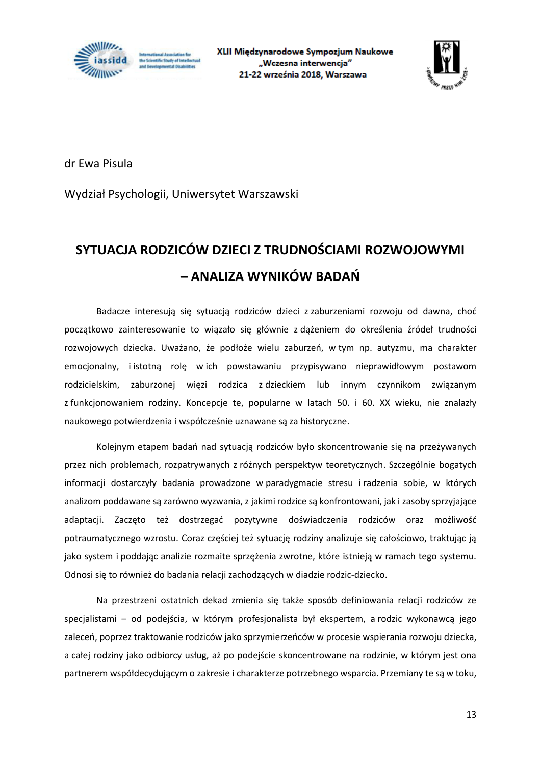



dr Ewa Pisula

Wydział Psychologii, Uniwersytet Warszawski

### **SYTUACJA RODZICÓW DZIECI Z TRUDNOŚCIAMI ROZWOJOWYMI – ANALIZA WYNIKÓW BADAŃ**

Badacze interesują się sytuacją rodziców dzieci z zaburzeniami rozwoju od dawna, choć początkowo zainteresowanie to wiązało się głównie z dążeniem do określenia źródeł trudności rozwojowych dziecka. Uważano, że podłoże wielu zaburzeń, w tym np. autyzmu, ma charakter emocjonalny, i istotną rolę w ich powstawaniu przypisywano nieprawidłowym postawom rodzicielskim, zaburzonej więzi rodzica z dzieckiem lub innym czynnikom związanym z funkcjonowaniem rodziny. Koncepcje te, popularne w latach 50. i 60. XX wieku, nie znalazły naukowego potwierdzenia i współcześnie uznawane są za historyczne.

Kolejnym etapem badań nad sytuacją rodziców było skoncentrowanie się na przeżywanych przez nich problemach, rozpatrywanych z różnych perspektyw teoretycznych. Szczególnie bogatych informacji dostarczyły badania prowadzone w paradygmacie stresu i radzenia sobie, w których analizom poddawane są zarówno wyzwania, z jakimi rodzice są konfrontowani, jak i zasoby sprzyjające adaptacji. Zaczęto też dostrzegać pozytywne doświadczenia rodziców oraz możliwość potraumatycznego wzrostu. Coraz częściej też sytuację rodziny analizuje się całościowo, traktując ją jako system i poddając analizie rozmaite sprzężenia zwrotne, które istnieją w ramach tego systemu. Odnosi się to również do badania relacji zachodzących w diadzie rodzic-dziecko.

Na przestrzeni ostatnich dekad zmienia się także sposób definiowania relacji rodziców ze specjalistami – od podejścia, w którym profesjonalista był ekspertem, a rodzic wykonawcą jego zaleceń, poprzez traktowanie rodziców jako sprzymierzeńców w procesie wspierania rozwoju dziecka, a całej rodziny jako odbiorcy usług, aż po podejście skoncentrowane na rodzinie, w którym jest ona partnerem współdecydującym o zakresie i charakterze potrzebnego wsparcia. Przemiany te są w toku,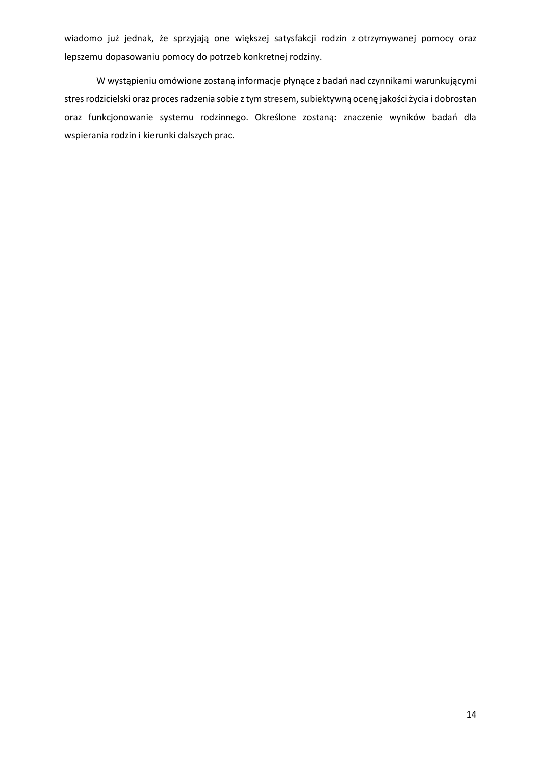wiadomo już jednak, że sprzyjają one większej satysfakcji rodzin z otrzymywanej pomocy oraz lepszemu dopasowaniu pomocy do potrzeb konkretnej rodziny.

W wystąpieniu omówione zostaną informacje płynące z badań nad czynnikami warunkującymi stres rodzicielski oraz proces radzenia sobie z tym stresem, subiektywną ocenę jakości życia i dobrostan oraz funkcjonowanie systemu rodzinnego. Określone zostaną: znaczenie wyników badań dla wspierania rodzin i kierunki dalszych prac.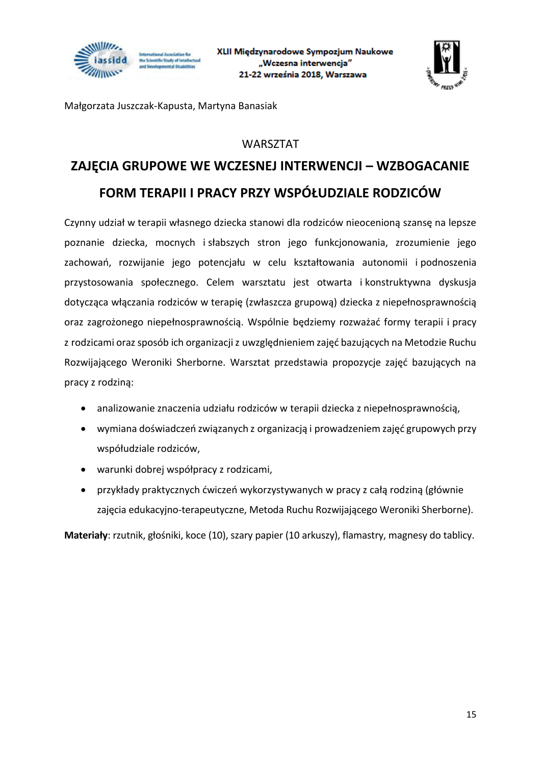



Małgorzata Juszczak-Kapusta, Martyna Banasiak

#### WARSZTAT

### **ZAJĘCIA GRUPOWE WE WCZESNEJ INTERWENCJI – WZBOGACANIE FORM TERAPII I PRACY PRZY WSPÓŁUDZIALE RODZICÓW**

Czynny udział w terapii własnego dziecka stanowi dla rodziców nieocenioną szansę na lepsze poznanie dziecka, mocnych i słabszych stron jego funkcjonowania, zrozumienie jego zachowań, rozwijanie jego potencjału w celu kształtowania autonomii i podnoszenia przystosowania społecznego. Celem warsztatu jest otwarta i konstruktywna dyskusja dotycząca włączania rodziców w terapię (zwłaszcza grupową) dziecka z niepełnosprawnością oraz zagrożonego niepełnosprawnością. Wspólnie będziemy rozważać formy terapii i pracy z rodzicami oraz sposób ich organizacji z uwzględnieniem zajęć bazujących na Metodzie Ruchu Rozwijającego Weroniki Sherborne. Warsztat przedstawia propozycje zajęć bazujących na pracy z rodziną:

- analizowanie znaczenia udziału rodziców w terapii dziecka z niepełnosprawnością,
- wymiana doświadczeń związanych z organizacją i prowadzeniem zajęć grupowych przy współudziale rodziców,
- warunki dobrej współpracy z rodzicami,
- przykłady praktycznych ćwiczeń wykorzystywanych w pracy z całą rodziną (głównie zajęcia edukacyjno-terapeutyczne, Metoda Ruchu Rozwijającego Weroniki Sherborne).

**Materiały**: rzutnik, głośniki, koce (10), szary papier (10 arkuszy), flamastry, magnesy do tablicy.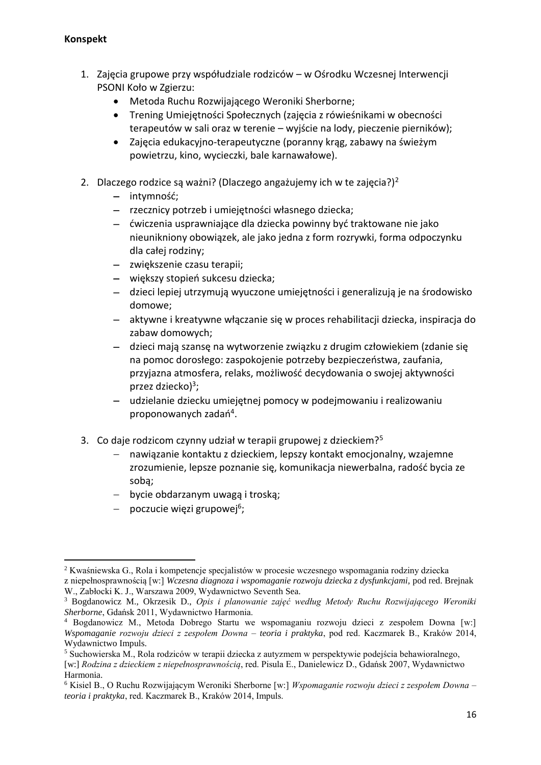#### **Konspekt**

- 1. Zajęcia grupowe przy współudziale rodziców w Ośrodku Wczesnej Interwencji PSONI Koło w Zgierzu:
	- Metoda Ruchu Rozwijającego Weroniki Sherborne;
	- Trening Umiejętności Społecznych (zajęcia z rówieśnikami w obecności terapeutów w sali oraz w terenie – wyjście na lody, pieczenie pierników);
	- Zajęcia edukacyjno-terapeutyczne (poranny krąg, zabawy na świeżym powietrzu, kino, wycieczki, bale karnawałowe).
- 2. Dlaczego rodzice są ważni? (Dlaczego angażujemy ich w te zajęcia?)<sup>2</sup>
	- − intymność;
	- − rzecznicy potrzeb i umiejętności własnego dziecka;
	- − ćwiczenia usprawniające dla dziecka powinny być traktowane nie jako nieunikniony obowiązek, ale jako jedna z form rozrywki, forma odpoczynku dla całej rodziny;
	- − zwiększenie czasu terapii;
	- − większy stopień sukcesu dziecka;
	- − dzieci lepiej utrzymują wyuczone umiejętności i generalizują je na środowisko domowe;
	- − aktywne i kreatywne włączanie się w proces rehabilitacji dziecka, inspiracja do zabaw domowych;
	- − dzieci mają szansę na wytworzenie związku z drugim człowiekiem (zdanie się na pomoc dorosłego: zaspokojenie potrzeby bezpieczeństwa, zaufania, przyjazna atmosfera, relaks, możliwość decydowania o swojej aktywności przez dziecko)<sup>3</sup>;
	- − udzielanie dziecku umiejętnej pomocy w podejmowaniu i realizowaniu proponowanych zadań<sup>4</sup>.
- 3. Co daje rodzicom czynny udział w terapii grupowej z dzieckiem?<sup>5</sup>
	- − nawiązanie kontaktu z dzieckiem, lepszy kontakt emocjonalny, wzajemne zrozumienie, lepsze poznanie się, komunikacja niewerbalna, radość bycia ze sobą;
	- − bycie obdarzanym uwagą i troską;
	- − poczucie więzi grupowej<sup>6</sup>;

**<sup>.</sup>** <sup>2</sup> Kwaśniewska G., Rola i kompetencje specjalistów w procesie wczesnego wspomagania rodziny dziecka z niepełnosprawnością [w:] *Wczesna diagnoza i wspomaganie rozwoju dziecka z dysfunkcjami,* pod red. Brejnak W., Zabłocki K. J., Warszawa 2009, Wydawnictwo Seventh Sea.

<sup>3</sup> Bogdanowicz M., Okrzesik D., *Opis i planowanie zajęć według Metody Ruchu Rozwijającego Weroniki Sherborne*, Gdańsk 2011, Wydawnictwo Harmonia.

<sup>4</sup> Bogdanowicz M., Metoda Dobrego Startu we wspomaganiu rozwoju dzieci z zespołem Downa [w:] *Wspomaganie rozwoju dzieci z zespołem Downa – teoria i praktyka*, pod red. Kaczmarek B., Kraków 2014, Wydawnictwo Impuls.

<sup>5</sup> Suchowierska M., Rola rodziców w terapii dziecka z autyzmem w perspektywie podejścia behawioralnego, [w:] *Rodzina z dzieckiem z niepełnosprawnością*, red. Pisula E., Danielewicz D., Gdańsk 2007, Wydawnictwo Harmonia.

<sup>6</sup> Kisiel B., O Ruchu Rozwijającym Weroniki Sherborne [w:] *Wspomaganie rozwoju dzieci z zespołem Downa – teoria i praktyka*, red. Kaczmarek B., Kraków 2014, Impuls.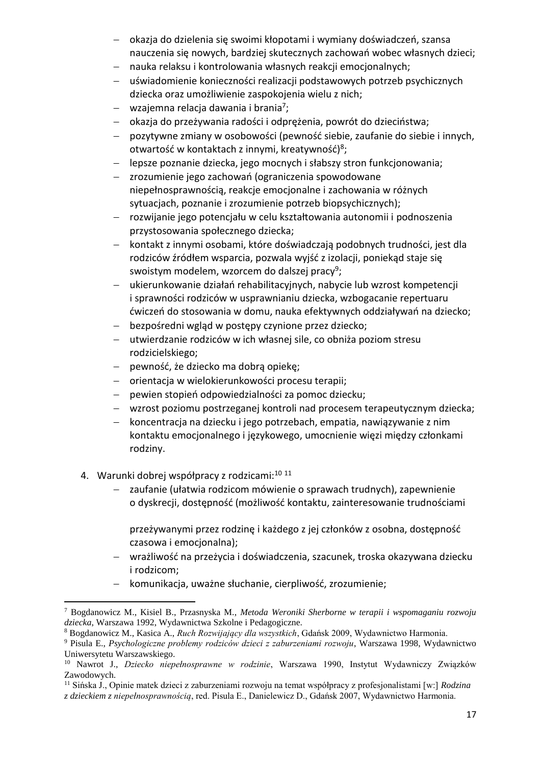- − okazja do dzielenia się swoimi kłopotami i wymiany doświadczeń, szansa nauczenia się nowych, bardziej skutecznych zachowań wobec własnych dzieci;
- − nauka relaksu i kontrolowania własnych reakcji emocjonalnych;
- − uświadomienie konieczności realizacji podstawowych potrzeb psychicznych dziecka oraz umożliwienie zaspokojenia wielu z nich;
- − wzajemna relacja dawania i brania<sup>7</sup>;
- − okazja do przeżywania radości i odprężenia, powrót do dzieciństwa;
- − pozytywne zmiany w osobowości (pewność siebie, zaufanie do siebie i innych, otwartość w kontaktach z innymi, kreatywność)<sup>8</sup>;
- − lepsze poznanie dziecka, jego mocnych i słabszy stron funkcjonowania;
- − zrozumienie jego zachowań (ograniczenia spowodowane niepełnosprawnością, reakcje emocjonalne i zachowania w różnych sytuacjach, poznanie i zrozumienie potrzeb biopsychicznych);
- − rozwijanie jego potencjału w celu kształtowania autonomii i podnoszenia przystosowania społecznego dziecka;
- − kontakt z innymi osobami, które doświadczają podobnych trudności, jest dla rodziców źródłem wsparcia, pozwala wyjść z izolacji, poniekąd staje się swoistym modelem, wzorcem do dalszej pracy<sup>9</sup>;
- − ukierunkowanie działań rehabilitacyjnych, nabycie lub wzrost kompetencji i sprawności rodziców w usprawnianiu dziecka, wzbogacanie repertuaru ćwiczeń do stosowania w domu, nauka efektywnych oddziaływań na dziecko;
- − bezpośredni wgląd w postępy czynione przez dziecko;
- − utwierdzanie rodziców w ich własnej sile, co obniża poziom stresu rodzicielskiego;
- − pewność, że dziecko ma dobrą opiekę;
- − orientacja w wielokierunkowości procesu terapii;
- − pewien stopień odpowiedzialności za pomoc dziecku;
- − wzrost poziomu postrzeganej kontroli nad procesem terapeutycznym dziecka;
- − koncentracja na dziecku i jego potrzebach, empatia, nawiązywanie z nim kontaktu emocjonalnego i językowego, umocnienie więzi między członkami rodziny.
- 4. Warunki dobrej współpracy z rodzicami:<sup>10 11</sup>

**.** 

- zaufanie (ułatwia rodzicom mówienie o sprawach trudnych), zapewnienie o dyskrecji, dostępność (możliwość kontaktu, zainteresowanie trudnościami
	- przeżywanymi przez rodzinę i każdego z jej członków z osobna, dostępność czasowa i emocjonalna);
- − wrażliwość na przeżycia i doświadczenia, szacunek, troska okazywana dziecku i rodzicom;
- − komunikacja, uważne słuchanie, cierpliwość, zrozumienie;

<sup>7</sup> Bogdanowicz M., Kisiel B., Przasnyska M., *Metoda Weroniki Sherborne w terapii i wspomaganiu rozwoju dziecka*, Warszawa 1992, Wydawnictwa Szkolne i Pedagogiczne.

<sup>8</sup> Bogdanowicz M., Kasica A., *Ruch Rozwijający dla wszystkich*, Gdańsk 2009, Wydawnictwo Harmonia.

<sup>9</sup> Pisula E., *Psychologiczne problemy rodziców dzieci z zaburzeniami rozwoju*, Warszawa 1998, Wydawnictwo Uniwersytetu Warszawskiego.

<sup>10</sup> Nawrot J., *Dziecko niepełnosprawne w rodzinie*, Warszawa 1990, Instytut Wydawniczy Związków Zawodowych.

<sup>11</sup> Sińska J., Opinie matek dzieci z zaburzeniami rozwoju na temat współpracy z profesjonalistami [w:] *Rodzina z dzieckiem z niepełnosprawnością*, red. Pisula E., Danielewicz D., Gdańsk 2007, Wydawnictwo Harmonia.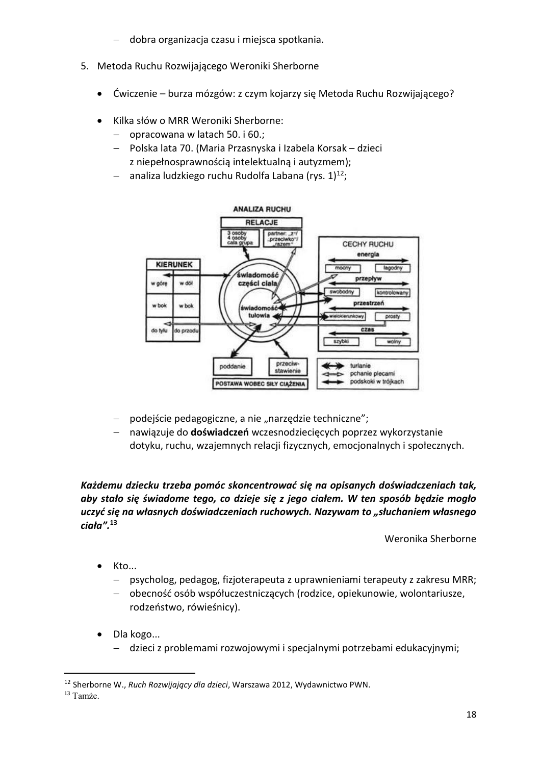- − dobra organizacja czasu i miejsca spotkania.
- 5. Metoda Ruchu Rozwijającego Weroniki Sherborne
	- Ćwiczenie burza mózgów: z czym kojarzy się Metoda Ruchu Rozwijającego?
	- Kilka słów o MRR Weroniki Sherborne:
		- − opracowana w latach 50. i 60.;
		- − Polska lata 70. (Maria Przasnyska i Izabela Korsak dzieci z niepełnosprawnością intelektualną i autyzmem);
		- − analiza ludzkiego ruchu Rudolfa Labana (rys. 1)<sup>12</sup>;



- podejście pedagogiczne, a nie "narzędzie techniczne";
- − nawiązuje do **doświadczeń** wczesnodziecięcych poprzez wykorzystanie dotyku, ruchu, wzajemnych relacji fizycznych, emocjonalnych i społecznych.

*Każdemu dziecku trzeba pomóc skoncentrować się na opisanych doświadczeniach tak, aby stało się świadome tego, co dzieje się z jego ciałem. W ten sposób będzie mogło uczyć się na własnych doświadczeniach ruchowych. Nazywam to "słuchaniem własnego ciała".***<sup>13</sup>**

Weronika Sherborne

- Kto...
	- − psycholog, pedagog, fizjoterapeuta z uprawnieniami terapeuty z zakresu MRR;
	- − obecność osób współuczestniczących (rodzice, opiekunowie, wolontariusze, rodzeństwo, rówieśnicy).
- Dla kogo...
	- − dzieci z problemami rozwojowymi i specjalnymi potrzebami edukacyjnymi;

1

<sup>12</sup> Sherborne W., *Ruch Rozwijający dla dzieci*, Warszawa 2012, Wydawnictwo PWN.

<sup>13</sup> Tamże.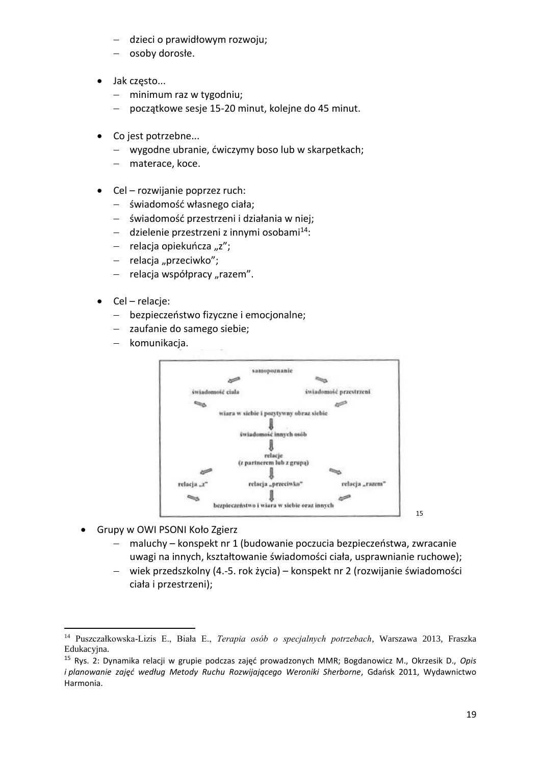- − dzieci o prawidłowym rozwoju;
- − osoby dorosłe.
- Jak często...
	- − minimum raz w tygodniu;
	- − początkowe sesje 15-20 minut, kolejne do 45 minut.
- Co jest potrzebne...
	- − wygodne ubranie, ćwiczymy boso lub w skarpetkach;
	- − materace, koce.
- Cel rozwijanie poprzez ruch:
	- − świadomość własnego ciała;
	- − świadomość przestrzeni i działania w niej;
	- − dzielenie przestrzeni z innymi osobami<sup>14</sup>:
	- − relacja opiekuńcza "z";
	- − relacja "przeciwko";
	- relacja współpracy "razem".
- Cel relacje:
	- − bezpieczeństwo fizyczne i emocjonalne;
	- − zaufanie do samego siebie;
	- − komunikacja.



• Grupy w OWI PSONI Koło Zgierz

**.** 

- − maluchy konspekt nr 1 (budowanie poczucia bezpieczeństwa, zwracanie uwagi na innych, kształtowanie świadomości ciała, usprawnianie ruchowe);
- − wiek przedszkolny (4.-5. rok życia) konspekt nr 2 (rozwijanie świadomości ciała i przestrzeni);

<sup>14</sup> Puszczałkowska-Lizis E., Biała E., *Terapia osób o specjalnych potrzebach*, Warszawa 2013, Fraszka Edukacyjna.

<sup>15</sup> Rys. 2: Dynamika relacji w grupie podczas zajęć prowadzonych MMR; Bogdanowicz M., Okrzesik D., *Opis i planowanie zajęć według Metody Ruchu Rozwijającego Weroniki Sherborne*, Gdańsk 2011, Wydawnictwo Harmonia.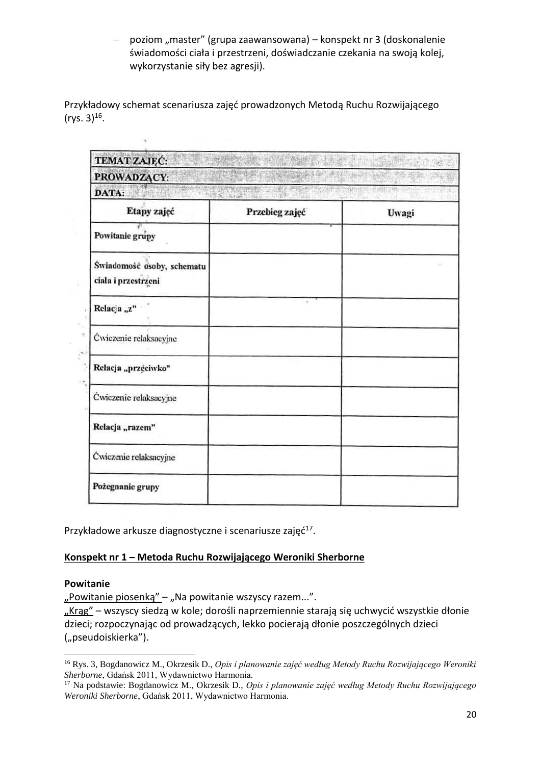poziom "master" (grupa zaawansowana) – konspekt nr 3 (doskonalenie świadomości ciała i przestrzeni, doświadczanie czekania na swoją kolej, wykorzystanie siły bez agresji).

Przykładowy schemat scenariusza zajęć prowadzonych Metodą Ruchu Rozwijającego  $($ rys. 3 $)$ <sup>16</sup>.

¥.

| PROWADZĄCY:                                       |                |       |  |  |  |
|---------------------------------------------------|----------------|-------|--|--|--|
| DATA:                                             |                |       |  |  |  |
| Etapy zajęć                                       | Przebieg zajęć | Uwagi |  |  |  |
| Powitanie grupy                                   |                |       |  |  |  |
| Świadomość osoby, schematu<br>ciala i przestrzeni |                |       |  |  |  |
| Relacja "z"                                       | ٠              |       |  |  |  |
| Ćwiczenie relaksacyjne                            |                |       |  |  |  |
| Relacja "przeciwko"                               |                |       |  |  |  |
| Ćwiczenie relaksacyjne                            |                |       |  |  |  |
| Relacja "razem"                                   |                |       |  |  |  |
| Ćwiczenie relaksacyjne                            |                |       |  |  |  |
| Pożegnanie grupy                                  |                |       |  |  |  |

Przykładowe arkusze diagnostyczne i scenariusze zajęć<sup>17</sup>.

#### **Konspekt nr 1 – Metoda Ruchu Rozwijającego Weroniki Sherborne**

#### **Powitanie**

**.** 

"Powitanie piosenką" – "Na powitanie wszyscy razem...".

"Krąg" – wszyscy siedzą w kole; dorośli naprzemiennie starają się uchwycić wszystkie dłonie dzieci; rozpoczynając od prowadzących, lekko pocierają dłonie poszczególnych dzieci ("pseudoiskierka").

<sup>16</sup> Rys. 3, Bogdanowicz M., Okrzesik D., *Opis i planowanie zajęć według Metody Ruchu Rozwijającego Weroniki Sherborne*, Gdańsk 2011, Wydawnictwo Harmonia.

<sup>17</sup> Na podstawie: Bogdanowicz M., Okrzesik D., *Opis i planowanie zajęć według Metody Ruchu Rozwijającego Weroniki Sherborne*, Gdańsk 2011, Wydawnictwo Harmonia.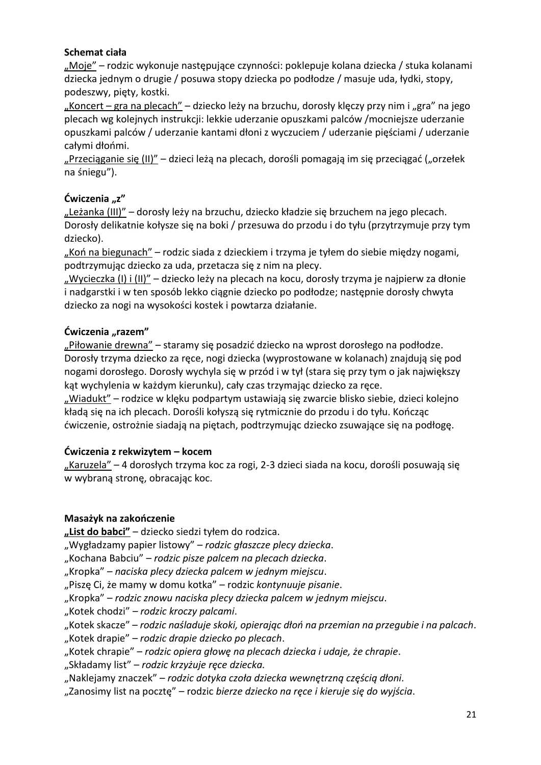#### **Schemat ciała**

"Moje" – rodzic wykonuje następujące czynności: poklepuje kolana dziecka / stuka kolanami dziecka jednym o drugie / posuwa stopy dziecka po podłodze / masuje uda, łydki, stopy, podeszwy, pięty, kostki.

"Koncert – gra na plecach" – dziecko leży na brzuchu, dorosły klęczy przy nim i "gra" na jego plecach wg kolejnych instrukcji: lekkie uderzanie opuszkami palców /mocniejsze uderzanie opuszkami palców / uderzanie kantami dłoni z wyczuciem / uderzanie pięściami / uderzanie całymi dłońmi.

"Przeciąganie się (II)" – dzieci leżą na plecach, dorośli pomagają im się przeciągać ("orzełek na śniegu").

#### **Ćwiczenia "z"**

"Leżanka (III)" – dorosły leży na brzuchu, dziecko kładzie się brzuchem na jego plecach. Dorosły delikatnie kołysze się na boki / przesuwa do przodu i do tyłu (przytrzymuje przy tym dziecko).

"Koń na biegunach" – rodzic siada z dzieckiem i trzyma je tyłem do siebie między nogami, podtrzymując dziecko za uda, przetacza się z nim na plecy.

"Wycieczka (I) i (II)" – dziecko leży na plecach na kocu, dorosły trzyma je najpierw za dłonie i nadgarstki i w ten sposób lekko ciągnie dziecko po podłodze; następnie dorosły chwyta dziecko za nogi na wysokości kostek i powtarza działanie.

#### Ćwiczenia "razem"

"Piłowanie drewna" – staramy się posadzić dziecko na wprost dorosłego na podłodze. Dorosły trzyma dziecko za ręce, nogi dziecka (wyprostowane w kolanach) znajdują się pod nogami dorosłego. Dorosły wychyla się w przód i w tył (stara się przy tym o jak największy kąt wychylenia w każdym kierunku), cały czas trzymając dziecko za ręce.

"Wiadukt" – rodzice w klęku podpartym ustawiają się zwarcie blisko siebie, dzieci kolejno kładą się na ich plecach. Dorośli kołyszą się rytmicznie do przodu i do tyłu. Kończąc ćwiczenie, ostrożnie siadają na piętach, podtrzymując dziecko zsuwające się na podłogę.

#### **Ćwiczenia z rekwizytem – kocem**

"Karuzela" – 4 dorosłych trzyma koc za rogi, 2-3 dzieci siada na kocu, dorośli posuwają się w wybraną stronę, obracając koc.

#### **Masażyk na zakończenie**

**"List do babci"** – dziecko siedzi tyłem do rodzica.

"Wygładzamy papier listowy" – *rodzic głaszcze plecy dziecka*.

"Kochana Babciu" – *rodzic pisze palcem na plecach dziecka*.

"Kropka" – *naciska plecy dziecka palcem w jednym miejscu*.

"Piszę Ci, że mamy w domu kotka" – rodzic *kontynuuje pisanie*.

"Kropka" – rodzic znowu naciska plecy dziecka palcem w jednym miejscu.

"Kotek chodzi" – rodzic kroczy palcami.

"Kotek skacze" – *rodzic naśladuje skoki, opierając dłoń na przemian na przegubie i na palcach*.

"Kotek drapie" – *rodzic drapie dziecko po plecach*.

"Kotek chrapie" – *rodzic opiera głowę na plecach dziecka i udaje, że chrapie*.

"Składamy list" – *rodzic krzyżuje ręce dziecka.*

"Naklejamy znaczek" – *rodzic dotyka czoła dziecka wewnętrzną częścią dłoni.*

"Zanosimy list na pocztę" – rodzic *bierze dziecko na ręce i kieruje się do wyjścia*.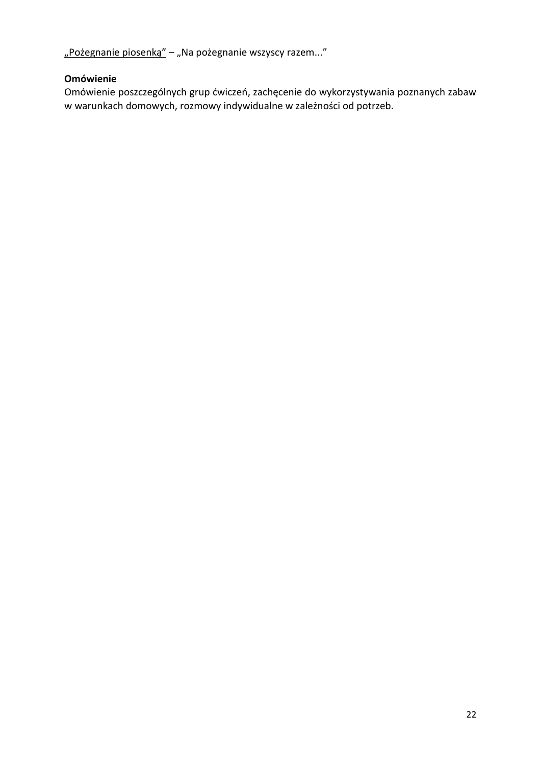"Pożegnanie piosenką" – "Na pożegnanie wszyscy razem..."

#### **Omówienie**

Omówienie poszczególnych grup ćwiczeń, zachęcenie do wykorzystywania poznanych zabaw w warunkach domowych, rozmowy indywidualne w zależności od potrzeb.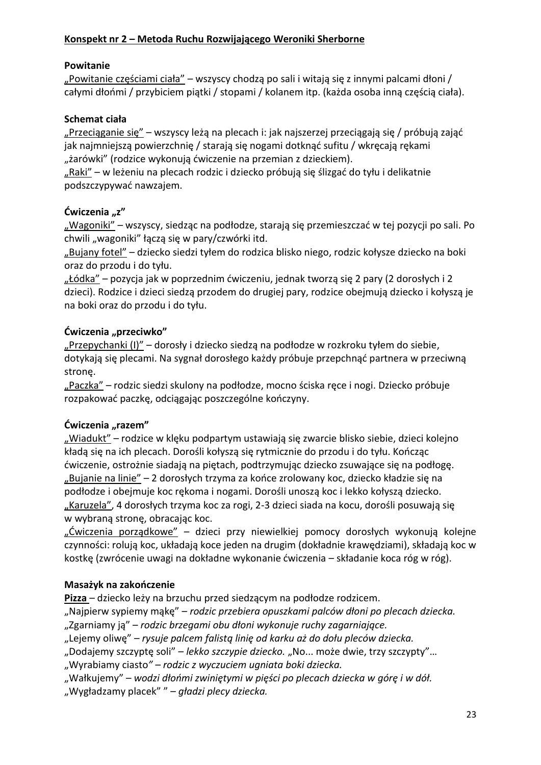#### **Powitanie**

"Powitanie częściami ciała" – wszyscy chodzą po sali i witają się z innymi palcami dłoni / całymi dłońmi / przybiciem piątki / stopami / kolanem itp. (każda osoba inną częścią ciała).

#### **Schemat ciała**

"Przeciąganie się" – wszyscy leżą na plecach i: jak najszerzej przeciągają się / próbują zająć jak najmniejszą powierzchnię / starają się nogami dotknąć sufitu / wkręcają rękami "żarówki" (rodzice wykonują ćwiczenie na przemian z dzieckiem).

"Raki" – w leżeniu na plecach rodzic i dziecko próbują się ślizgać do tyłu i delikatnie podszczypywać nawzajem.

#### **Ćwiczenia "z"**

"Wagoniki" – wszyscy, siedząc na podłodze, starają się przemieszczać w tej pozycji po sali. Po chwili "wagoniki" łączą się w pary/czwórki itd.

"Bujany fotel" – dziecko siedzi tyłem do rodzica blisko niego, rodzic kołysze dziecko na boki oraz do przodu i do tyłu.

"Łódka" – pozycja jak w poprzednim ćwiczeniu, jednak tworzą się 2 pary (2 dorosłych i 2 dzieci). Rodzice i dzieci siedzą przodem do drugiej pary, rodzice obejmują dziecko i kołyszą je na boki oraz do przodu i do tyłu.

#### **Ćwiczenia "przeciwko"**

"Przepychanki (I)" – dorosły i dziecko siedzą na podłodze w rozkroku tyłem do siebie, dotykają się plecami. Na sygnał dorosłego każdy próbuje przepchnąć partnera w przeciwną stronę.

"Paczka" – rodzic siedzi skulony na podłodze, mocno ściska ręce i nogi. Dziecko próbuje rozpakować paczkę, odciągając poszczególne kończyny.

#### Ćwiczenia "razem"

"Wiadukt" – rodzice w klęku podpartym ustawiają się zwarcie blisko siebie, dzieci kolejno kładą się na ich plecach. Dorośli kołyszą się rytmicznie do przodu i do tyłu. Kończąc ćwiczenie, ostrożnie siadają na piętach, podtrzymując dziecko zsuwające się na podłogę. "Bujanie na linie" – 2 dorosłych trzyma za końce zrolowany koc, dziecko kładzie się na podłodze i obejmuje koc rękoma i nogami. Dorośli unoszą koc i lekko kołyszą dziecko. "Karuzela", 4 dorosłych trzyma koc za rogi, 2-3 dzieci siada na kocu, dorośli posuwają się w wybraną stronę, obracając koc.

"Ćwiczenia porządkowe" – dzieci przy niewielkiej pomocy dorosłych wykonują kolejne czynności: rolują koc, układają koce jeden na drugim (dokładnie krawędziami), składają koc w kostkę (zwrócenie uwagi na dokładne wykonanie ćwiczenia – składanie koca róg w róg).

#### **Masażyk na zakończenie**

**Pizza** – dziecko leży na brzuchu przed siedzącym na podłodze rodzicem.

"Najpierw sypiemy mąkę" – *rodzic przebiera opuszkami palców dłoni po plecach dziecka.* "Zgarniamy ją" – *rodzic brzegami obu dłoni wykonuje ruchy zagarniające.*

"Lejemy oliwę" – *rysuje palcem falistą linię od karku aż do dołu pleców dziecka.*

"Dodajemy szczyptę soli" – *lekko szczypie dziecko.* "No... może dwie, trzy szczypty"…

"Wyrabiamy ciasto*" – rodzic z wyczuciem ugniata boki dziecka.*

"Wałkujemy" – *wodzi dłońmi zwiniętymi w pięści po plecach dziecka w górę i w dół.*

"Wygładzamy placek" " – *gładzi plecy dziecka.*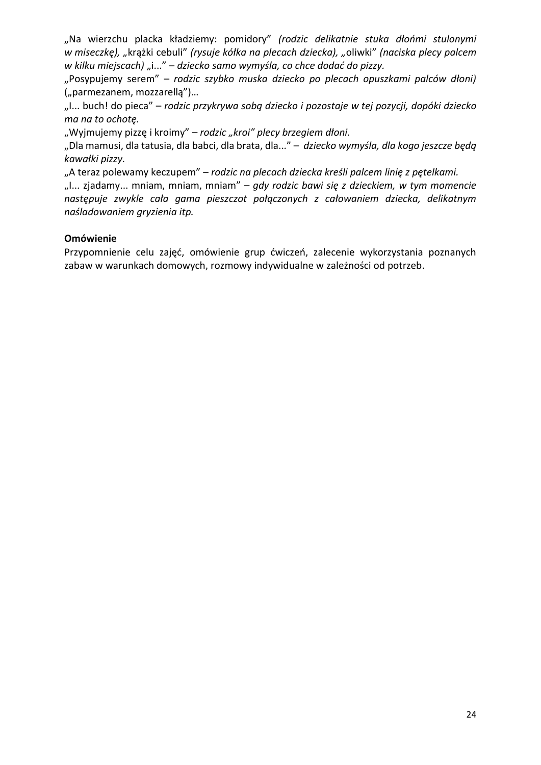"Na wierzchu placka kładziemy: pomidory" *(rodzic delikatnie stuka dłońmi stulonymi w miseczkę), "*krążki cebuli" *(rysuje kółka na plecach dziecka), "*oliwki" *(naciska plecy palcem w kilku miejscach) "i..."* – dziecko samo wymyśla, co chce dodać do pizzy.

"Posypujemy serem" – *rodzic szybko muska dziecko po plecach opuszkami palców dłoni)* ("parmezanem, mozzarellą")…

"I... buch! do pieca" – *rodzic przykrywa sobą dziecko i pozostaje w tej pozycji, dopóki dziecko ma na to ochotę.*

"Wyjmujemy pizzę i kroimy" – *rodzic "kroi" plecy brzegiem dłoni.* 

"Dla mamusi, dla tatusia, dla babci, dla brata, dla..." – *dziecko wymyśla, dla kogo jeszcze będą kawałki pizzy.*

"A teraz polewamy keczupem" – *rodzic na plecach dziecka kreśli palcem linię z pętelkami.*

"I... zjadamy... mniam, mniam, mniam" – *gdy rodzic bawi się z dzieckiem, w tym momencie następuje zwykle cała gama pieszczot połączonych z całowaniem dziecka, delikatnym naśladowaniem gryzienia itp.*

#### **Omówienie**

Przypomnienie celu zajęć, omówienie grup ćwiczeń, zalecenie wykorzystania poznanych zabaw w warunkach domowych, rozmowy indywidualne w zależności od potrzeb.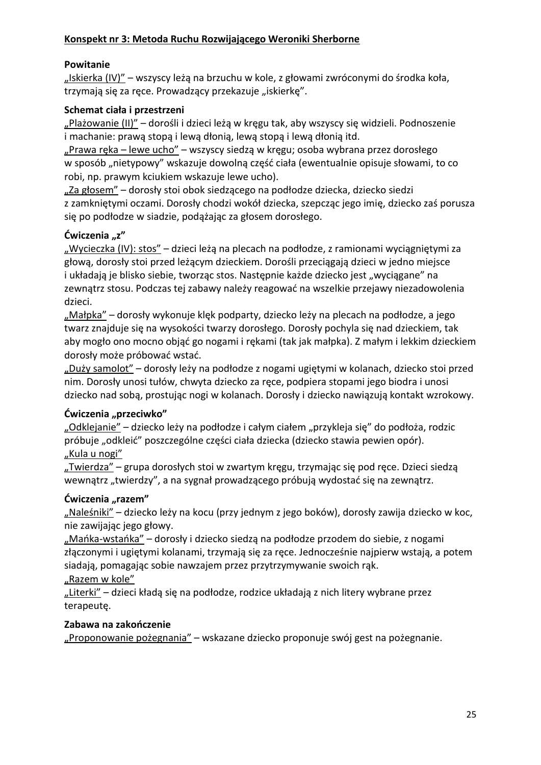#### **Konspekt nr 3: Metoda Ruchu Rozwijającego Weroniki Sherborne**

#### **Powitanie**

"Iskierka (IV)" – wszyscy leżą na brzuchu w kole, z głowami zwróconymi do środka koła, trzymają się za ręce. Prowadzący przekazuje "iskierkę".

#### **Schemat ciała i przestrzeni**

"Plażowanie (II)" – dorośli i dzieci leżą w kręgu tak, aby wszyscy się widzieli. Podnoszenie i machanie: prawą stopą i lewą dłonią, lewą stopą i lewą dłonią itd.

"Prawa ręka – lewe ucho" – wszyscy siedzą w kręgu; osoba wybrana przez dorosłego w sposób "nietypowy" wskazuje dowolną część ciała (ewentualnie opisuje słowami, to co robi, np. prawym kciukiem wskazuje lewe ucho).

"Za głosem" – dorosły stoi obok siedzącego na podłodze dziecka, dziecko siedzi z zamkniętymi oczami. Dorosły chodzi wokół dziecka, szepcząc jego imię, dziecko zaś porusza się po podłodze w siadzie, podążając za głosem dorosłego.

#### **Ćwiczenia "z"**

"Wycieczka (IV): stos" – dzieci leżą na plecach na podłodze, z ramionami wyciągniętymi za głową, dorosły stoi przed leżącym dzieckiem. Dorośli przeciągają dzieci w jedno miejsce i układają je blisko siebie, tworząc stos. Następnie każde dziecko jest "wyciągane" na zewnątrz stosu. Podczas tej zabawy należy reagować na wszelkie przejawy niezadowolenia dzieci.

"Małpka" – dorosły wykonuje klęk podparty, dziecko leży na plecach na podłodze, a jego twarz znajduje się na wysokości twarzy dorosłego. Dorosły pochyla się nad dzieckiem, tak aby mogło ono mocno objąć go nogami i rękami (tak jak małpka). Z małym i lekkim dzieckiem dorosły może próbować wstać.

"Duży samolot" – dorosły leży na podłodze z nogami ugiętymi w kolanach, dziecko stoi przed nim. Dorosły unosi tułów, chwyta dziecko za ręce, podpiera stopami jego biodra i unosi dziecko nad sobą, prostując nogi w kolanach. Dorosły i dziecko nawiązują kontakt wzrokowy.

#### **Ćwiczenia "przeciwko"**

"Odklejanie" – dziecko leży na podłodze i całym ciałem "przykleja się" do podłoża, rodzic próbuje "odkleić" poszczególne części ciała dziecka (dziecko stawia pewien opór). "Kula u nogi"

"Twierdza" – grupa dorosłych stoi w zwartym kręgu, trzymając się pod ręce. Dzieci siedzą wewnątrz "twierdzy", a na sygnał prowadzącego próbują wydostać się na zewnątrz.

#### Ćwiczenia "razem"

"Naleśniki" – dziecko leży na kocu (przy jednym z jego boków), dorosły zawija dziecko w koc, nie zawijając jego głowy.

"Mańka-wstańka" – dorosły i dziecko siedzą na podłodze przodem do siebie, z nogami złączonymi i ugiętymi kolanami, trzymają się za ręce. Jednocześnie najpierw wstają, a potem siadają, pomagając sobie nawzajem przez przytrzymywanie swoich rąk.

#### "Razem w kole"

"Literki" – dzieci kładą się na podłodze, rodzice układają z nich litery wybrane przez terapeutę.

#### **Zabawa na zakończenie**

"Proponowanie pożegnania" – wskazane dziecko proponuje swój gest na pożegnanie.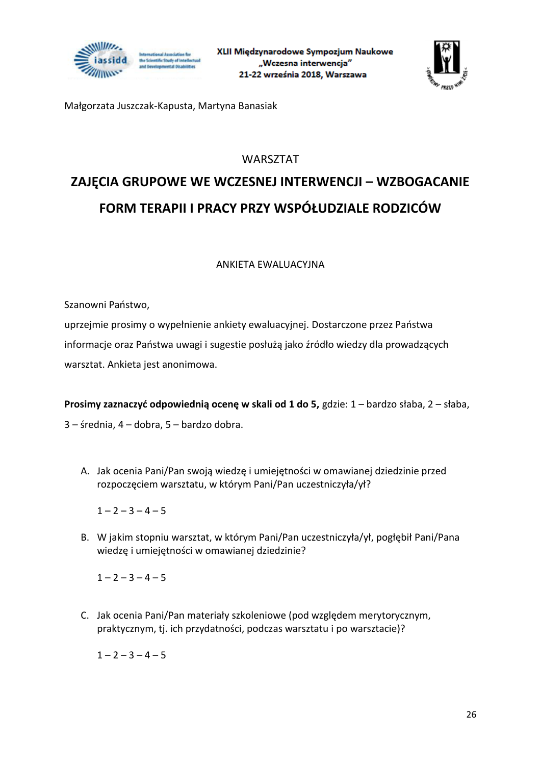



Małgorzata Juszczak-Kapusta, Martyna Banasiak

#### WARSZTAT

### **ZAJĘCIA GRUPOWE WE WCZESNEJ INTERWENCJI – WZBOGACANIE FORM TERAPII I PRACY PRZY WSPÓŁUDZIALE RODZICÓW**

#### ANKIETA EWALUACYJNA

Szanowni Państwo,

uprzejmie prosimy o wypełnienie ankiety ewaluacyjnej. Dostarczone przez Państwa informacje oraz Państwa uwagi i sugestie posłużą jako źródło wiedzy dla prowadzących warsztat. Ankieta jest anonimowa.

**Prosimy zaznaczyć odpowiednią ocenę w skali od 1 do 5,** gdzie: 1 – bardzo słaba, 2 – słaba, 3 – średnia, 4 – dobra, 5 – bardzo dobra.

A. Jak ocenia Pani/Pan swoją wiedzę i umiejętności w omawianej dziedzinie przed rozpoczęciem warsztatu, w którym Pani/Pan uczestniczyła/ył?

 $1 - 2 - 3 - 4 - 5$ 

B. W jakim stopniu warsztat, w którym Pani/Pan uczestniczyła/ył, pogłębił Pani/Pana wiedzę i umiejętności w omawianej dziedzinie?

 $1 - 2 - 3 - 4 - 5$ 

C. Jak ocenia Pani/Pan materiały szkoleniowe (pod względem merytorycznym, praktycznym, tj. ich przydatności, podczas warsztatu i po warsztacie)?

 $1 - 2 - 3 - 4 - 5$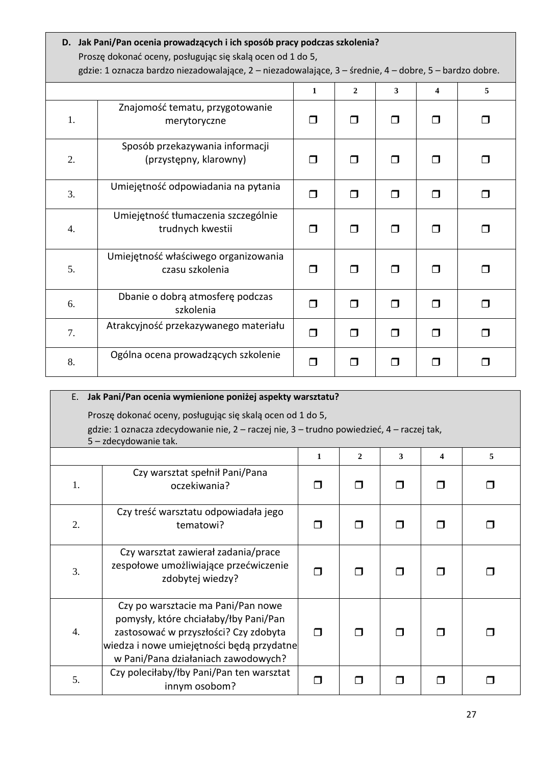#### **D. Jak Pani/Pan ocenia prowadzących i ich sposób pracy podczas szkolenia?** Proszę dokonać oceny, posługując się skalą ocen od 1 do 5,

gdzie: 1 oznacza bardzo niezadowalające, 2 – niezadowalające, 3 – średnie, 4 – dobre, 5 – bardzo dobre.

|    |                                                           | 1      | $\mathbf{2}$ | 3              | 4      | 5 |
|----|-----------------------------------------------------------|--------|--------------|----------------|--------|---|
| 1. | Znajomość tematu, przygotowanie<br>merytoryczne           | ⊓      | Π            | П              |        |   |
| 2. | Sposób przekazywania informacji<br>(przystępny, klarowny) | П      | $\Box$       | П              | П      | П |
| 3. | Umiejętność odpowiadania na pytania                       | □      | $\Box$       | $\Box$         | $\Box$ | ⊓ |
| 4. | Umiejętność tłumaczenia szczególnie<br>trudnych kwestii   | □      | $\Box$       | $\Box$         | П      |   |
| 5. | Umiejętność właściwego organizowania<br>czasu szkolenia   | ◘      | $\Box$       | $\Box$         | П      | П |
| 6. | Dbanie o dobrą atmosferę podczas<br>szkolenia             | ⊓      | $\Box$       | $\Box$         | $\Box$ | ⊓ |
| 7. | Atrakcyjność przekazywanego materiału                     | $\Box$ | $\Box$       | $\Box$         | ⊓      | ⊓ |
| 8. | Ogólna ocena prowadzących szkolenie                       | ⊓      | П            | $\mathsf{\Pi}$ |        |   |

| Jak Pani/Pan ocenia wymienione poniżej aspekty warsztatu?<br>Ε. |                                                                                                                                                                                                          |        |  |   |  |  |
|-----------------------------------------------------------------|----------------------------------------------------------------------------------------------------------------------------------------------------------------------------------------------------------|--------|--|---|--|--|
| Proszę dokonać oceny, posługując się skalą ocen od 1 do 5,      |                                                                                                                                                                                                          |        |  |   |  |  |
|                                                                 | gdzie: 1 oznacza zdecydowanie nie, 2 – raczej nie, 3 – trudno powiedzieć, 4 – raczej tak,                                                                                                                |        |  |   |  |  |
|                                                                 | 5 - zdecydowanie tak.                                                                                                                                                                                    |        |  |   |  |  |
|                                                                 | $\mathbf{2}$<br>3<br>$\mathbf{1}$<br>5<br>4                                                                                                                                                              |        |  |   |  |  |
| 1.                                                              | Czy warsztat spełnił Pani/Pana<br>oczekiwania?                                                                                                                                                           | ⊓      |  |   |  |  |
| 2.                                                              | Czy treść warsztatu odpowiadała jego<br>tematowi?                                                                                                                                                        | ⊓      |  |   |  |  |
| 3.                                                              | Czy warsztat zawierał zadania/prace<br>zespołowe umożliwiające przećwiczenie<br>zdobytej wiedzy?                                                                                                         | ⊓      |  |   |  |  |
| 4.                                                              | Czy po warsztacie ma Pani/Pan nowe<br>pomysły, które chciałaby/łby Pani/Pan<br>zastosować w przyszłości? Czy zdobyta<br>wiedza i nowe umiejętności będą przydatne<br>w Pani/Pana działaniach zawodowych? | $\Box$ |  | ⊓ |  |  |
| 5.                                                              | Czy poleciłaby/łby Pani/Pan ten warsztat<br>innym osobom?                                                                                                                                                |        |  |   |  |  |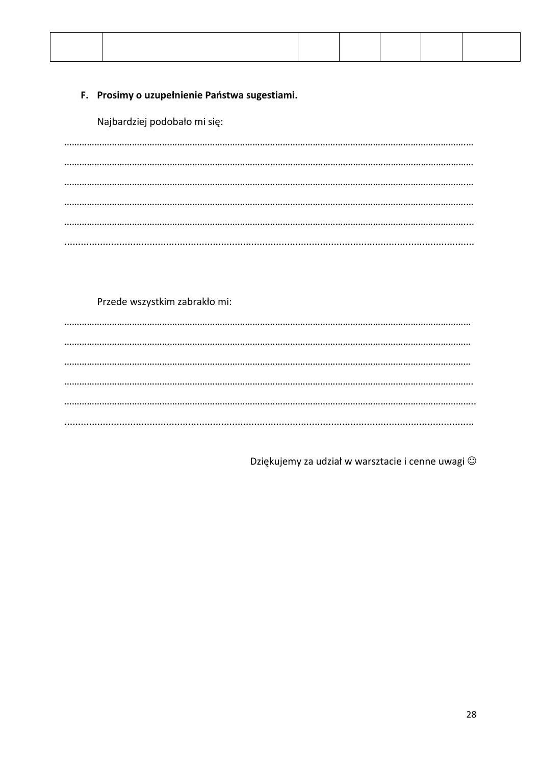#### F. Prosimy o uzupełnienie Państwa sugestiami.

Najbardziej podobało mi się:

#### Przede wszystkim zabrakło mi:

Dziękujemy za udział w warsztacie i cenne uwagi ©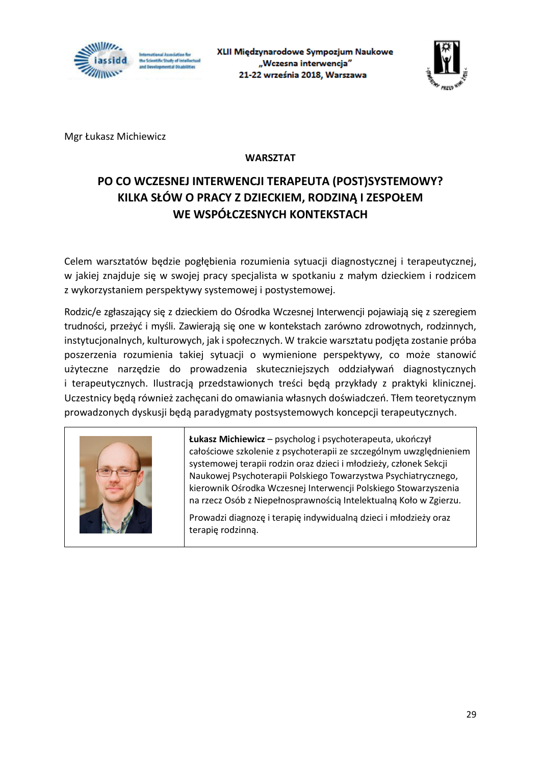

XLII Międzynarodowe Sympozjum Naukowe "Wczesna interwencja" 21-22 września 2018, Warszawa



Mgr Łukasz Michiewicz

#### **WARSZTAT**

#### **PO CO WCZESNEJ INTERWENCJI TERAPEUTA (POST)SYSTEMOWY? KILKA SŁÓW O PRACY Z DZIECKIEM, RODZINĄ I ZESPOŁEM WE WSPÓŁCZESNYCH KONTEKSTACH**

Celem warsztatów będzie pogłębienia rozumienia sytuacji diagnostycznej i terapeutycznej, w jakiej znajduje się w swojej pracy specjalista w spotkaniu z małym dzieckiem i rodzicem z wykorzystaniem perspektywy systemowej i postystemowej.

Rodzic/e zgłaszający się z dzieckiem do Ośrodka Wczesnej Interwencji pojawiają się z szeregiem trudności, przeżyć i myśli. Zawierają się one w kontekstach zarówno zdrowotnych, rodzinnych, instytucjonalnych, kulturowych, jak i społecznych. W trakcie warsztatu podjęta zostanie próba poszerzenia rozumienia takiej sytuacji o wymienione perspektywy, co może stanowić użyteczne narzędzie do prowadzenia skuteczniejszych oddziaływań diagnostycznych i terapeutycznych. Ilustracją przedstawionych treści będą przykłady z praktyki klinicznej. Uczestnicy będą również zachęcani do omawiania własnych doświadczeń. Tłem teoretycznym prowadzonych dyskusji będą paradygmaty postsystemowych koncepcji terapeutycznych.



**Łukasz Michiewicz** – psycholog i psychoterapeuta, ukończył całościowe szkolenie z psychoterapii ze szczególnym uwzględnieniem systemowej terapii rodzin oraz dzieci i młodzieży, członek Sekcji Naukowej Psychoterapii Polskiego Towarzystwa Psychiatrycznego, kierownik Ośrodka Wczesnej Interwencji Polskiego Stowarzyszenia na rzecz Osób z Niepełnosprawnością Intelektualną Koło w Zgierzu.

Prowadzi diagnozę i terapię indywidualną dzieci i młodzieży oraz terapię rodzinną.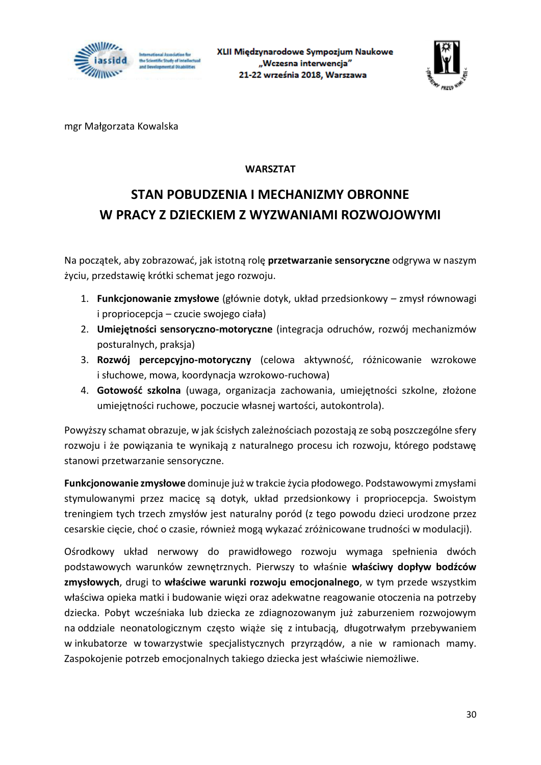



mgr Małgorzata Kowalska

#### **WARSZTAT**

### **STAN POBUDZENIA I MECHANIZMY OBRONNE W PRACY Z DZIECKIEM Z WYZWANIAMI ROZWOJOWYMI**

Na początek, aby zobrazować, jak istotną rolę **przetwarzanie sensoryczne** odgrywa w naszym życiu, przedstawię krótki schemat jego rozwoju.

- 1. **Funkcjonowanie zmysłowe** (głównie dotyk, układ przedsionkowy zmysł równowagi i propriocepcja – czucie swojego ciała)
- 2. **Umiejętności sensoryczno-motoryczne** (integracja odruchów, rozwój mechanizmów posturalnych, praksja)
- 3. **Rozwój percepcyjno-motoryczny** (celowa aktywność, różnicowanie wzrokowe i słuchowe, mowa, koordynacja wzrokowo-ruchowa)
- 4. **Gotowość szkolna** (uwaga, organizacja zachowania, umiejętności szkolne, złożone umiejętności ruchowe, poczucie własnej wartości, autokontrola).

Powyższy schamat obrazuje, w jak ścisłych zależnościach pozostają ze sobą poszczególne sfery rozwoju i że powiązania te wynikają z naturalnego procesu ich rozwoju, którego podstawę stanowi przetwarzanie sensoryczne.

**Funkcjonowanie zmysłowe** dominuje już w trakcie życia płodowego. Podstawowymi zmysłami stymulowanymi przez macicę są dotyk, układ przedsionkowy i propriocepcja. Swoistym treningiem tych trzech zmysłów jest naturalny poród (z tego powodu dzieci urodzone przez cesarskie cięcie, choć o czasie, również mogą wykazać zróżnicowane trudności w modulacji).

Ośrodkowy układ nerwowy do prawidłowego rozwoju wymaga spełnienia dwóch podstawowych warunków zewnętrznych. Pierwszy to właśnie **właściwy dopływ bodźców zmysłowych**, drugi to **właściwe warunki rozwoju emocjonalnego**, w tym przede wszystkim właściwa opieka matki i budowanie więzi oraz adekwatne reagowanie otoczenia na potrzeby dziecka. Pobyt wcześniaka lub dziecka ze zdiagnozowanym już zaburzeniem rozwojowym na oddziale neonatologicznym często wiąże się z intubacją, długotrwałym przebywaniem w inkubatorze w towarzystwie specjalistycznych przyrządów, a nie w ramionach mamy. Zaspokojenie potrzeb emocjonalnych takiego dziecka jest właściwie niemożliwe.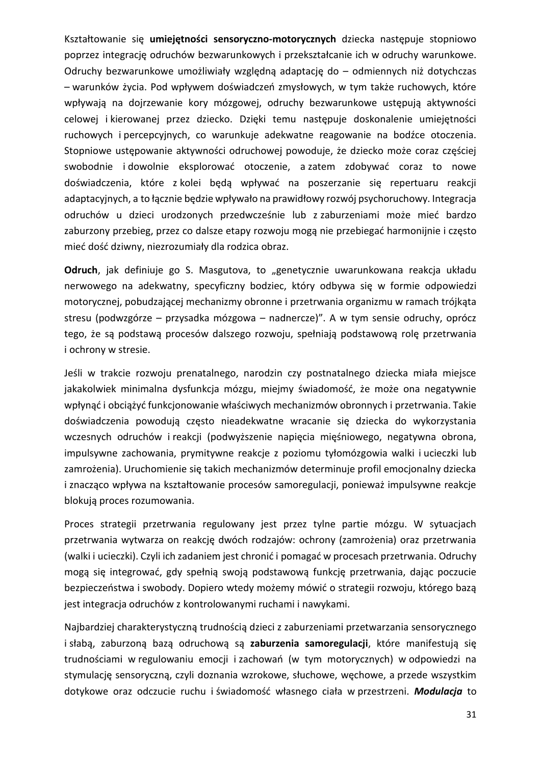Kształtowanie się **umiejętności sensoryczno-motorycznych** dziecka następuje stopniowo poprzez integrację odruchów bezwarunkowych i przekształcanie ich w odruchy warunkowe. Odruchy bezwarunkowe umożliwiały względną adaptację do – odmiennych niż dotychczas – warunków życia. Pod wpływem doświadczeń zmysłowych, w tym także ruchowych, które wpływają na dojrzewanie kory mózgowej, odruchy bezwarunkowe ustępują aktywności celowej i kierowanej przez dziecko. Dzięki temu następuje doskonalenie umiejętności ruchowych i percepcyjnych, co warunkuje adekwatne reagowanie na bodźce otoczenia. Stopniowe ustępowanie aktywności odruchowej powoduje, że dziecko może coraz częściej swobodnie i dowolnie eksplorować otoczenie, a zatem zdobywać coraz to nowe doświadczenia, które z kolei będą wpływać na poszerzanie się repertuaru reakcji adaptacyjnych, a to łącznie będzie wpływało na prawidłowy rozwój psychoruchowy. Integracja odruchów u dzieci urodzonych przedwcześnie lub z zaburzeniami może mieć bardzo zaburzony przebieg, przez co dalsze etapy rozwoju mogą nie przebiegać harmonijnie i często mieć dość dziwny, niezrozumiały dla rodzica obraz.

Odruch, jak definiuje go S. Masgutova, to "genetycznie uwarunkowana reakcja układu nerwowego na adekwatny, specyficzny bodziec, który odbywa się w formie odpowiedzi motorycznej, pobudzającej mechanizmy obronne i przetrwania organizmu w ramach trójkąta stresu (podwzgórze – przysadka mózgowa – nadnercze)". A w tym sensie odruchy, oprócz tego, że są podstawą procesów dalszego rozwoju, spełniają podstawową rolę przetrwania i ochrony w stresie.

Jeśli w trakcie rozwoju prenatalnego, narodzin czy postnatalnego dziecka miała miejsce jakakolwiek minimalna dysfunkcja mózgu, miejmy świadomość, że może ona negatywnie wpłynąć i obciążyć funkcjonowanie właściwych mechanizmów obronnych i przetrwania. Takie doświadczenia powodują często nieadekwatne wracanie się dziecka do wykorzystania wczesnych odruchów i reakcji (podwyższenie napięcia mięśniowego, negatywna obrona, impulsywne zachowania, prymitywne reakcje z poziomu tyłomózgowia walki i ucieczki lub zamrożenia). Uruchomienie się takich mechanizmów determinuje profil emocjonalny dziecka i znacząco wpływa na kształtowanie procesów samoregulacji, ponieważ impulsywne reakcje blokują proces rozumowania.

Proces strategii przetrwania regulowany jest przez tylne partie mózgu. W sytuacjach przetrwania wytwarza on reakcję dwóch rodzajów: ochrony (zamrożenia) oraz przetrwania (walki i ucieczki). Czyli ich zadaniem jest chronić i pomagać w procesach przetrwania. Odruchy mogą się integrować, gdy spełnią swoją podstawową funkcję przetrwania, dając poczucie bezpieczeństwa i swobody. Dopiero wtedy możemy mówić o strategii rozwoju, którego bazą jest integracja odruchów z kontrolowanymi ruchami i nawykami.

Najbardziej charakterystyczną trudnością dzieci z zaburzeniami przetwarzania sensorycznego i słabą, zaburzoną bazą odruchową są **zaburzenia samoregulacji**, które manifestują się trudnościami w regulowaniu emocji i zachowań (w tym motorycznych) w odpowiedzi na stymulację sensoryczną, czyli doznania wzrokowe, słuchowe, węchowe, a przede wszystkim dotykowe oraz odczucie ruchu i świadomość własnego ciała w przestrzeni. *Modulacja* to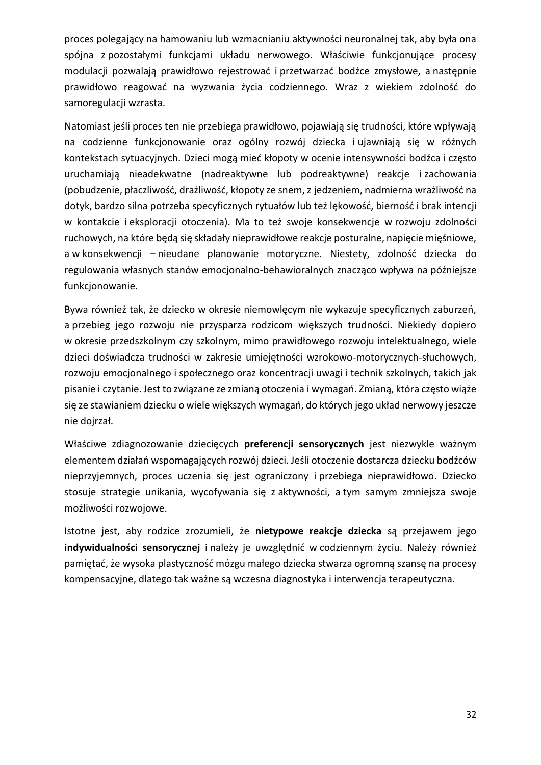proces polegający na hamowaniu lub wzmacnianiu aktywności neuronalnej tak, aby była ona spójna z pozostałymi funkcjami układu nerwowego. Właściwie funkcjonujące procesy modulacji pozwalają prawidłowo rejestrować i przetwarzać bodźce zmysłowe, a następnie prawidłowo reagować na wyzwania życia codziennego. Wraz z wiekiem zdolność do samoregulacji wzrasta.

Natomiast jeśli proces ten nie przebiega prawidłowo, pojawiają się trudności, które wpływają na codzienne funkcjonowanie oraz ogólny rozwój dziecka i ujawniają się w różnych kontekstach sytuacyjnych. Dzieci mogą mieć kłopoty w ocenie intensywności bodźca i często uruchamiają nieadekwatne (nadreaktywne lub podreaktywne) reakcje i zachowania (pobudzenie, płaczliwość, drażliwość, kłopoty ze snem, z jedzeniem, nadmierna wrażliwość na dotyk, bardzo silna potrzeba specyficznych rytuałów lub też lękowość, bierność i brak intencji w kontakcie i eksploracji otoczenia). Ma to też swoje konsekwencje w rozwoju zdolności ruchowych, na które będą się składały nieprawidłowe reakcje posturalne, napięcie mięśniowe, a w konsekwencji – nieudane planowanie motoryczne. Niestety, zdolność dziecka do regulowania własnych stanów emocjonalno-behawioralnych znacząco wpływa na późniejsze funkcjonowanie.

Bywa również tak, że dziecko w okresie niemowlęcym nie wykazuje specyficznych zaburzeń, a przebieg jego rozwoju nie przysparza rodzicom większych trudności. Niekiedy dopiero w okresie przedszkolnym czy szkolnym, mimo prawidłowego rozwoju intelektualnego, wiele dzieci doświadcza trudności w zakresie umiejętności wzrokowo-motorycznych-słuchowych, rozwoju emocjonalnego i społecznego oraz koncentracji uwagi i technik szkolnych, takich jak pisanie i czytanie. Jest to związane ze zmianą otoczenia i wymagań. Zmianą, która często wiąże się ze stawianiem dziecku o wiele większych wymagań, do których jego układ nerwowy jeszcze nie dojrzał.

Właściwe zdiagnozowanie dziecięcych **preferencji sensorycznych** jest niezwykle ważnym elementem działań wspomagających rozwój dzieci. Jeśli otoczenie dostarcza dziecku bodźców nieprzyjemnych, proces uczenia się jest ograniczony i przebiega nieprawidłowo. Dziecko stosuje strategie unikania, wycofywania się z aktywności, a tym samym zmniejsza swoje możliwości rozwojowe.

Istotne jest, aby rodzice zrozumieli, że **nietypowe reakcje dziecka** są przejawem jego **indywidualności sensorycznej** i należy je uwzględnić w codziennym życiu. Należy również pamiętać, że wysoka plastyczność mózgu małego dziecka stwarza ogromną szansę na procesy kompensacyjne, dlatego tak ważne są wczesna diagnostyka i interwencja terapeutyczna.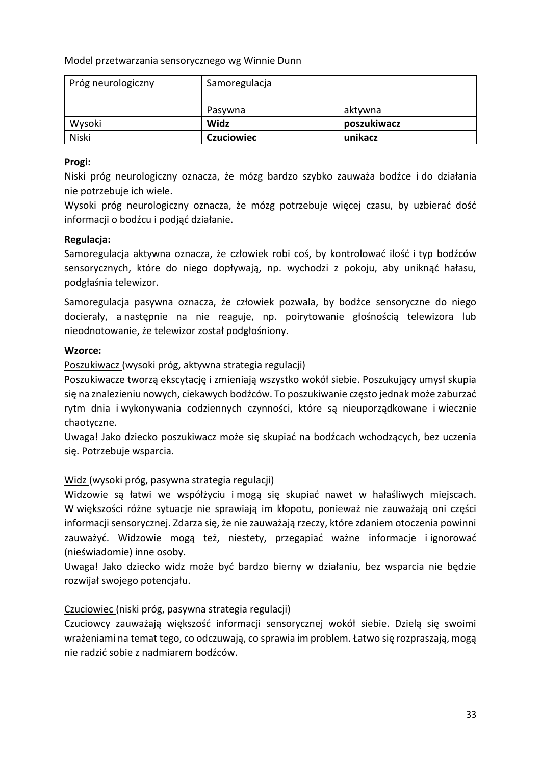Model przetwarzania sensorycznego wg Winnie Dunn

| Próg neurologiczny | Samoregulacja     |             |  |
|--------------------|-------------------|-------------|--|
|                    | Pasywna           | aktywna     |  |
| Wysoki             | Widz              | poszukiwacz |  |
| Niski              | <b>Czuciowiec</b> | unikacz     |  |

#### **Progi:**

Niski próg neurologiczny oznacza, że mózg bardzo szybko zauważa bodźce i do działania nie potrzebuje ich wiele.

Wysoki próg neurologiczny oznacza, że mózg potrzebuje więcej czasu, by uzbierać dość informacji o bodźcu i podjąć działanie.

#### **Regulacja:**

Samoregulacja aktywna oznacza, że człowiek robi coś, by kontrolować ilość i typ bodźców sensorycznych, które do niego dopływają, np. wychodzi z pokoju, aby uniknąć hałasu, podgłaśnia telewizor.

Samoregulacja pasywna oznacza, że człowiek pozwala, by bodźce sensoryczne do niego docierały, a następnie na nie reaguje, np. poirytowanie głośnością telewizora lub nieodnotowanie, że telewizor został podgłośniony.

#### **Wzorce:**

Poszukiwacz (wysoki próg, aktywna strategia regulacji)

Poszukiwacze tworzą ekscytację i zmieniają wszystko wokół siebie. Poszukujący umysł skupia się na znalezieniu nowych, ciekawych bodźców. To poszukiwanie często jednak może zaburzać rytm dnia i wykonywania codziennych czynności, które są nieuporządkowane i wiecznie chaotyczne.

Uwaga! Jako dziecko poszukiwacz może się skupiać na bodźcach wchodzących, bez uczenia się. Potrzebuje wsparcia.

#### Widz (wysoki próg, pasywna strategia regulacji)

Widzowie są łatwi we współżyciu i mogą się skupiać nawet w hałaśliwych miejscach. W większości różne sytuacje nie sprawiają im kłopotu, ponieważ nie zauważają oni części informacji sensorycznej. Zdarza się, że nie zauważają rzeczy, które zdaniem otoczenia powinni zauważyć. Widzowie mogą też, niestety, przegapiać ważne informacje i ignorować (nieświadomie) inne osoby.

Uwaga! Jako dziecko widz może być bardzo bierny w działaniu, bez wsparcia nie będzie rozwijał swojego potencjału.

#### Czuciowiec (niski próg, pasywna strategia regulacji)

Czuciowcy zauważają większość informacji sensorycznej wokół siebie. Dzielą się swoimi wrażeniami na temat tego, co odczuwają, co sprawia im problem. Łatwo się rozpraszają, mogą nie radzić sobie z nadmiarem bodźców.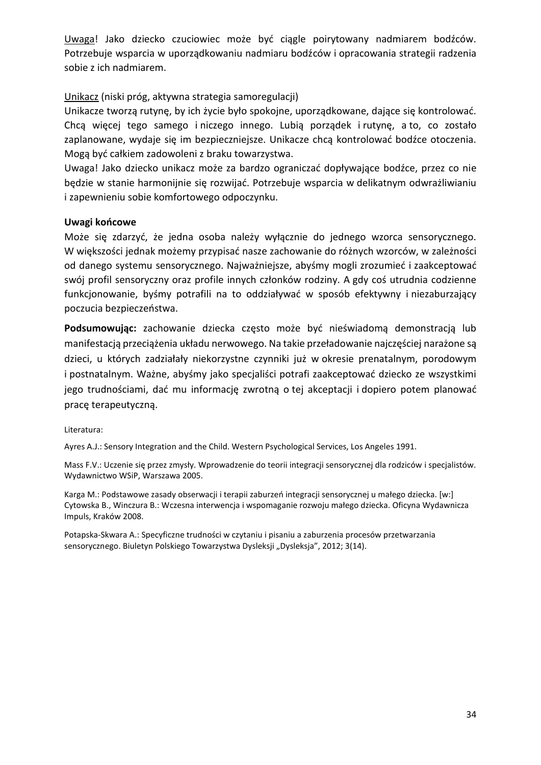Uwaga! Jako dziecko czuciowiec może być ciągle poirytowany nadmiarem bodźców. Potrzebuje wsparcia w uporządkowaniu nadmiaru bodźców i opracowania strategii radzenia sobie z ich nadmiarem.

#### Unikacz (niski próg, aktywna strategia samoregulacji)

Unikacze tworzą rutynę, by ich życie było spokojne, uporządkowane, dające się kontrolować. Chcą więcej tego samego i niczego innego. Lubią porządek i rutynę, a to, co zostało zaplanowane, wydaje się im bezpieczniejsze. Unikacze chcą kontrolować bodźce otoczenia. Mogą być całkiem zadowoleni z braku towarzystwa.

Uwaga! Jako dziecko unikacz może za bardzo ograniczać dopływające bodźce, przez co nie będzie w stanie harmonijnie się rozwijać. Potrzebuje wsparcia w delikatnym odwrażliwianiu i zapewnieniu sobie komfortowego odpoczynku.

#### **Uwagi końcowe**

Może się zdarzyć, że jedna osoba należy wyłącznie do jednego wzorca sensorycznego. W większości jednak możemy przypisać nasze zachowanie do różnych wzorców, w zależności od danego systemu sensorycznego. Najważniejsze, abyśmy mogli zrozumieć i zaakceptować swój profil sensoryczny oraz profile innych członków rodziny. A gdy coś utrudnia codzienne funkcjonowanie, byśmy potrafili na to oddziaływać w sposób efektywny i niezaburzający poczucia bezpieczeństwa.

**Podsumowując:** zachowanie dziecka często może być nieświadomą demonstracją lub manifestacją przeciążenia układu nerwowego. Na takie przeładowanie najczęściej narażone są dzieci, u których zadziałały niekorzystne czynniki już w okresie prenatalnym, porodowym i postnatalnym. Ważne, abyśmy jako specjaliści potrafi zaakceptować dziecko ze wszystkimi jego trudnościami, dać mu informację zwrotną o tej akceptacji i dopiero potem planować pracę terapeutyczną.

Literatura:

Ayres A.J.: Sensory Integration and the Child. Western Psychological Services, Los Angeles 1991.

Mass F.V.: Uczenie się przez zmysły. Wprowadzenie do teorii integracji sensorycznej dla rodziców i specjalistów. Wydawnictwo WSiP, Warszawa 2005.

Karga M.: Podstawowe zasady obserwacji i terapii zaburzeń integracji sensorycznej u małego dziecka. [w:] Cytowska B., Winczura B.: Wczesna interwencja i wspomaganie rozwoju małego dziecka. Oficyna Wydawnicza Impuls, Kraków 2008.

Potapska-Skwara A.: Specyficzne trudności w czytaniu i pisaniu a zaburzenia procesów przetwarzania sensorycznego. Biuletyn Polskiego Towarzystwa Dysleksji "Dysleksja", 2012; 3(14).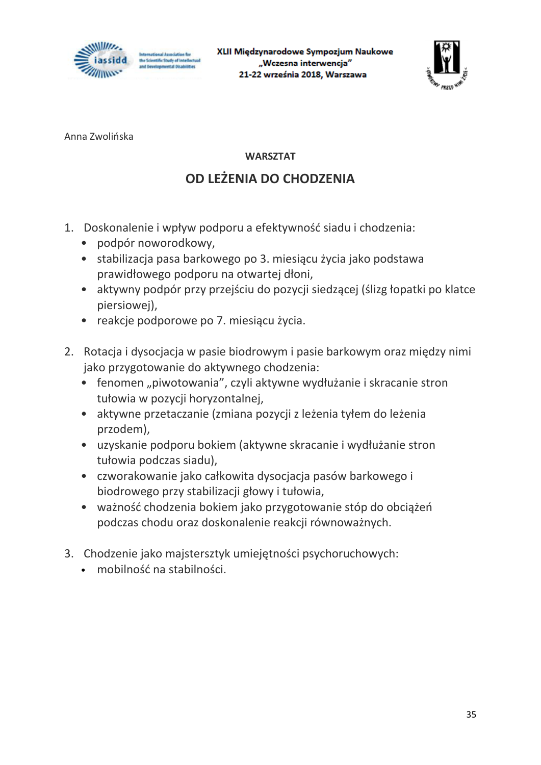

XLII Międzynarodowe Sympozjum Naukowe "Wczesna interwencja" 21-22 września 2018, Warszawa



Anna Zwolińska

#### **WARSZTAT**

### **OD LEŻENIA DO CHODZENIA**

- 1. Doskonalenie i wpływ podporu a efektywność siadu i chodzenia:
	- podpór noworodkowy,
	- stabilizacja pasa barkowego po 3. miesiącu życia jako podstawa prawidłowego podporu na otwartej dłoni,
	- aktywny podpór przy przejściu do pozycji siedzącej (ślizg łopatki po klatce piersiowej),
	- reakcje podporowe po 7. miesiącu życia.
- 2. Rotacja i dysocjacja w pasie biodrowym i pasie barkowym oraz między nimi jako przygotowanie do aktywnego chodzenia:
	- fenomen "piwotowania", czyli aktywne wydłużanie i skracanie stron tułowia w pozycji horyzontalnej,
	- aktywne przetaczanie (zmiana pozycji z leżenia tyłem do leżenia przodem),
	- uzyskanie podporu bokiem (aktywne skracanie i wydłużanie stron tułowia podczas siadu),
	- czworakowanie jako całkowita dysocjacja pasów barkowego i biodrowego przy stabilizacji głowy i tułowia,
	- ważność chodzenia bokiem jako przygotowanie stóp do obciążeń podczas chodu oraz doskonalenie reakcji równoważnych.
- 3. Chodzenie jako majstersztyk umiejętności psychoruchowych:
	- mobilność na stabilności.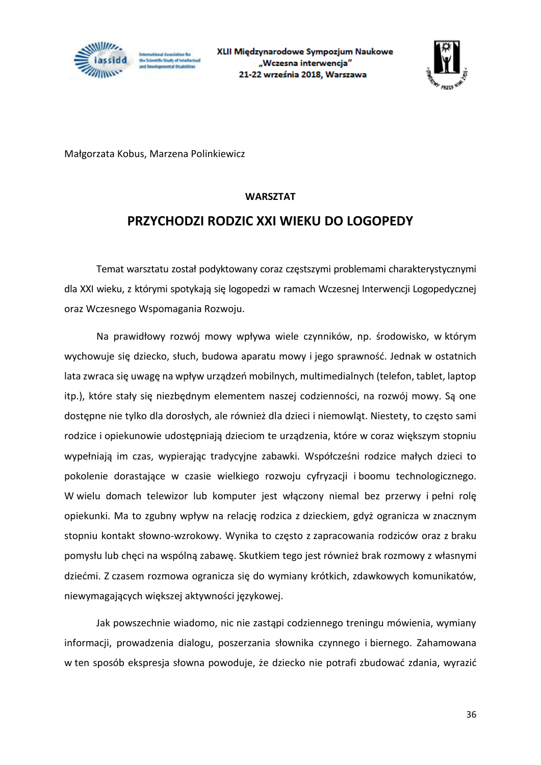



Małgorzata Kobus, Marzena Polinkiewicz

#### **WARSZTAT**

#### **PRZYCHODZI RODZIC XXI WIEKU DO LOGOPEDY**

Temat warsztatu został podyktowany coraz częstszymi problemami charakterystycznymi dla XXI wieku, z którymi spotykają się logopedzi w ramach Wczesnej Interwencji Logopedycznej oraz Wczesnego Wspomagania Rozwoju.

Na prawidłowy rozwój mowy wpływa wiele czynników, np. środowisko, w którym wychowuje się dziecko, słuch, budowa aparatu mowy i jego sprawność. Jednak w ostatnich lata zwraca się uwagę na wpływ urządzeń mobilnych, multimedialnych (telefon, tablet, laptop itp.), które stały się niezbędnym elementem naszej codzienności, na rozwój mowy. Są one dostępne nie tylko dla dorosłych, ale również dla dzieci i niemowląt. Niestety, to często sami rodzice i opiekunowie udostępniają dzieciom te urządzenia, które w coraz większym stopniu wypełniają im czas, wypierając tradycyjne zabawki. Współcześni rodzice małych dzieci to pokolenie dorastające w czasie wielkiego rozwoju cyfryzacji i boomu technologicznego. W wielu domach telewizor lub komputer jest włączony niemal bez przerwy i pełni rolę opiekunki. Ma to zgubny wpływ na relację rodzica z dzieckiem, gdyż ogranicza w znacznym stopniu kontakt słowno-wzrokowy. Wynika to często z zapracowania rodziców oraz z braku pomysłu lub chęci na wspólną zabawę. Skutkiem tego jest również brak rozmowy z własnymi dziećmi. Z czasem rozmowa ogranicza się do wymiany krótkich, zdawkowych komunikatów, niewymagających większej aktywności językowej.

Jak powszechnie wiadomo, nic nie zastąpi codziennego treningu mówienia, wymiany informacji, prowadzenia dialogu, poszerzania słownika czynnego i biernego. Zahamowana w ten sposób ekspresja słowna powoduje, że dziecko nie potrafi zbudować zdania, wyrazić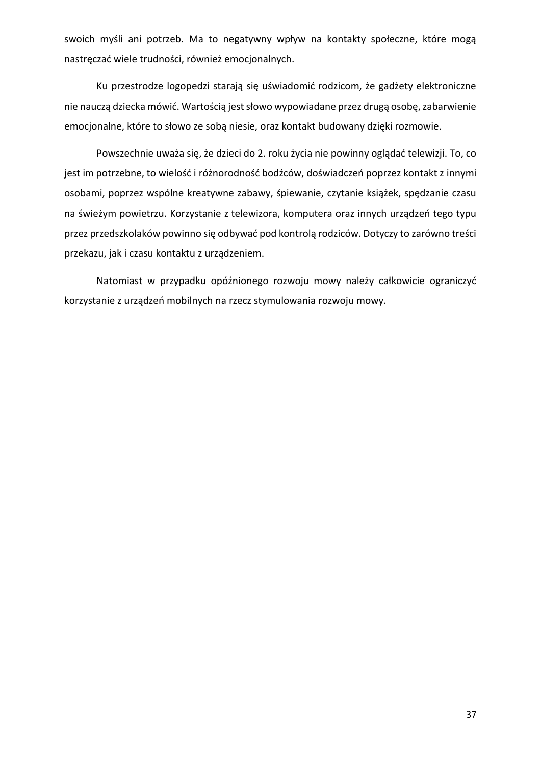swoich myśli ani potrzeb. Ma to negatywny wpływ na kontakty społeczne, które mogą nastręczać wiele trudności, również emocjonalnych.

Ku przestrodze logopedzi starają się uświadomić rodzicom, że gadżety elektroniczne nie nauczą dziecka mówić. Wartością jest słowo wypowiadane przez drugą osobę, zabarwienie emocjonalne, które to słowo ze sobą niesie, oraz kontakt budowany dzięki rozmowie.

Powszechnie uważa się, że dzieci do 2. roku życia nie powinny oglądać telewizji. To, co jest im potrzebne, to wielość i różnorodność bodźców, doświadczeń poprzez kontakt z innymi osobami, poprzez wspólne kreatywne zabawy, śpiewanie, czytanie książek, spędzanie czasu na świeżym powietrzu. Korzystanie z telewizora, komputera oraz innych urządzeń tego typu przez przedszkolaków powinno się odbywać pod kontrolą rodziców. Dotyczy to zarówno treści przekazu, jak i czasu kontaktu z urządzeniem.

Natomiast w przypadku opóźnionego rozwoju mowy należy całkowicie ograniczyć korzystanie z urządzeń mobilnych na rzecz stymulowania rozwoju mowy.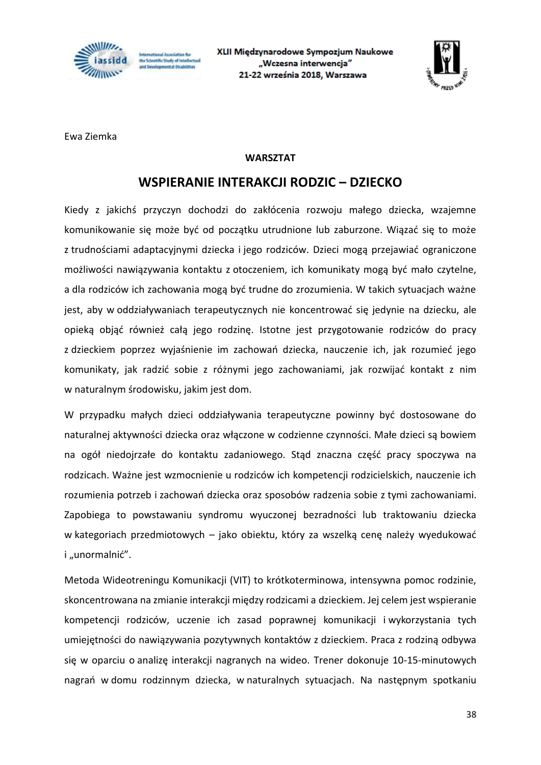

utional Association fo e Scientific Study of Intellect<br>nd Developmental Disabilities XLII Międzynarodowe Sympozjum Naukowe "Wczesna interwencja" 21-22 września 2018, Warszawa



Ewa Ziemka

#### **WARSZTAT**

#### **WSPIERANIE INTERAKCJI RODZIC – DZIECKO**

Kiedy z jakichś przyczyn dochodzi do zakłócenia rozwoju małego dziecka, wzajemne komunikowanie się może być od początku utrudnione lub zaburzone. Wiązać się to może z trudnościami adaptacyjnymi dziecka i jego rodziców. Dzieci mogą przejawiać ograniczone możliwości nawiązywania kontaktu z otoczeniem, ich komunikaty mogą być mało czytelne, a dla rodziców ich zachowania mogą być trudne do zrozumienia. W takich sytuacjach ważne jest, aby w oddziaływaniach terapeutycznych nie koncentrować się jedynie na dziecku, ale opieką objąć również całą jego rodzinę. Istotne jest przygotowanie rodziców do pracy z dzieckiem poprzez wyjaśnienie im zachowań dziecka, nauczenie ich, jak rozumieć jego komunikaty, jak radzić sobie z różnymi jego zachowaniami, jak rozwijać kontakt z nim w naturalnym środowisku, jakim jest dom.

W przypadku małych dzieci oddziaływania terapeutyczne powinny być dostosowane do naturalnej aktywności dziecka oraz włączone w codzienne czynności. Małe dzieci są bowiem na ogół niedojrzałe do kontaktu zadaniowego. Stąd znaczna część pracy spoczywa na rodzicach. Ważne jest wzmocnienie u rodziców ich kompetencji rodzicielskich, nauczenie ich rozumienia potrzeb i zachowań dziecka oraz sposobów radzenia sobie z tymi zachowaniami. Zapobiega to powstawaniu syndromu wyuczonej bezradności lub traktowaniu dziecka w kategoriach przedmiotowych – jako obiektu, który za wszelką cenę należy wyedukować i "unormalnić".

Metoda Wideotreningu Komunikacji (VIT) to krótkoterminowa, intensywna pomoc rodzinie, skoncentrowana na zmianie interakcji między rodzicami a dzieckiem. Jej celem jest wspieranie kompetencji rodziców, uczenie ich zasad poprawnej komunikacji i wykorzystania tych umiejętności do nawiązywania pozytywnych kontaktów z dzieckiem. Praca z rodziną odbywa się w oparciu o analizę interakcji nagranych na wideo. Trener dokonuje 10-15-minutowych nagrań w domu rodzinnym dziecka, w naturalnych sytuacjach. Na następnym spotkaniu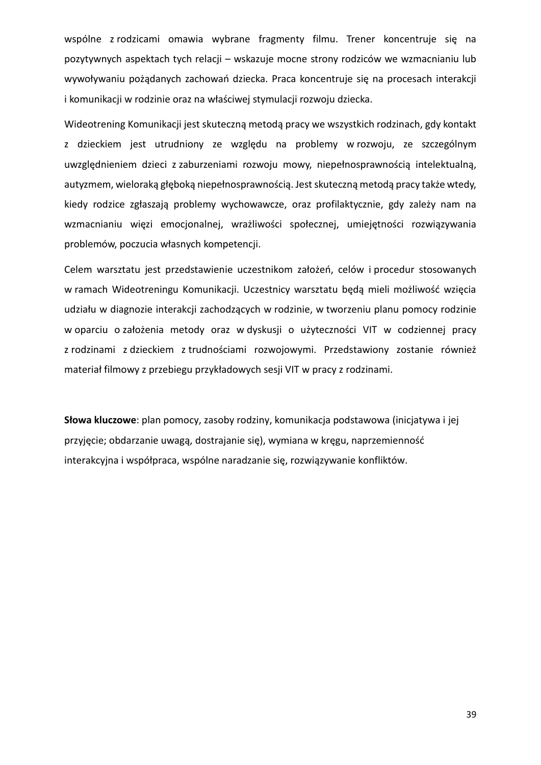wspólne z rodzicami omawia wybrane fragmenty filmu. Trener koncentruje się na pozytywnych aspektach tych relacji – wskazuje mocne strony rodziców we wzmacnianiu lub wywoływaniu pożądanych zachowań dziecka. Praca koncentruje się na procesach interakcji i komunikacji w rodzinie oraz na właściwej stymulacji rozwoju dziecka.

Wideotrening Komunikacji jest skuteczną metodą pracy we wszystkich rodzinach, gdy kontakt z dzieckiem jest utrudniony ze względu na problemy w rozwoju, ze szczególnym uwzględnieniem dzieci z zaburzeniami rozwoju mowy, niepełnosprawnością intelektualną, autyzmem, wieloraką głęboką niepełnosprawnością. Jest skuteczną metodą pracy także wtedy, kiedy rodzice zgłaszają problemy wychowawcze, oraz profilaktycznie, gdy zależy nam na wzmacnianiu więzi emocjonalnej, wrażliwości społecznej, umiejętności rozwiązywania problemów, poczucia własnych kompetencji.

Celem warsztatu jest przedstawienie uczestnikom założeń, celów i procedur stosowanych w ramach Wideotreningu Komunikacji. Uczestnicy warsztatu będą mieli możliwość wzięcia udziału w diagnozie interakcji zachodzących w rodzinie, w tworzeniu planu pomocy rodzinie w oparciu o założenia metody oraz w dyskusji o użyteczności VIT w codziennej pracy z rodzinami z dzieckiem z trudnościami rozwojowymi. Przedstawiony zostanie również materiał filmowy z przebiegu przykładowych sesji VIT w pracy z rodzinami.

**Słowa kluczowe**: plan pomocy, zasoby rodziny, komunikacja podstawowa (inicjatywa i jej przyjęcie; obdarzanie uwagą, dostrajanie się), wymiana w kręgu, naprzemienność interakcyjna i współpraca, wspólne naradzanie się, rozwiązywanie konfliktów.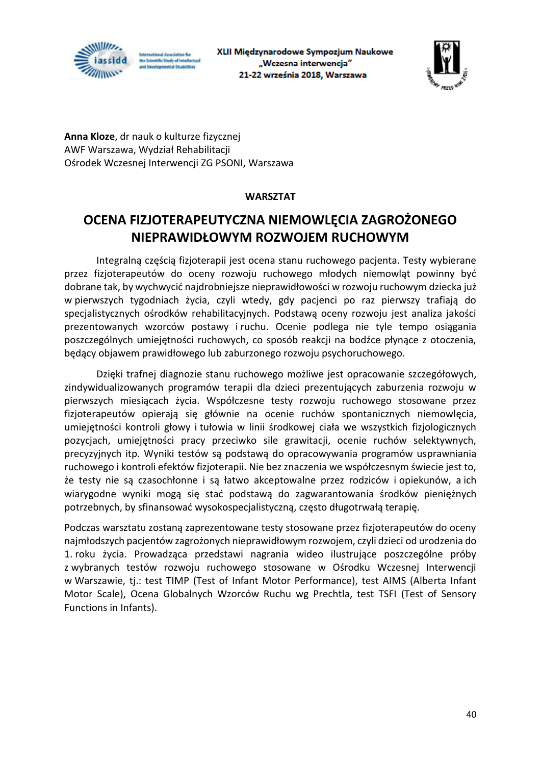

XLII Międzynarodowe Sympozjum Naukowe "Wczesna interwencja" 21-22 września 2018, Warszawa



**Anna Kloze**, dr nauk o kulturze fizycznej AWF Warszawa, Wydział Rehabilitacji Ośrodek Wczesnej Interwencji ZG PSONI, Warszawa

#### **WARSZTAT**

### **OCENA FIZJOTERAPEUTYCZNA NIEMOWLĘCIA ZAGROŻONEGO NIEPRAWIDŁOWYM ROZWOJEM RUCHOWYM**

Integralną częścią fizjoterapii jest ocena stanu ruchowego pacjenta. Testy wybierane przez fizjoterapeutów do oceny rozwoju ruchowego młodych niemowląt powinny być dobrane tak, by wychwycić najdrobniejsze nieprawidłowości w rozwoju ruchowym dziecka już w pierwszych tygodniach życia, czyli wtedy, gdy pacjenci po raz pierwszy trafiają do specjalistycznych ośrodków rehabilitacyjnych. Podstawą oceny rozwoju jest analiza jakości prezentowanych wzorców postawy i ruchu. Ocenie podlega nie tyle tempo osiągania poszczególnych umiejętności ruchowych, co sposób reakcji na bodźce płynące z otoczenia, będący objawem prawidłowego lub zaburzonego rozwoju psychoruchowego.

Dzięki trafnej diagnozie stanu ruchowego możliwe jest opracowanie szczegółowych, zindywidualizowanych programów terapii dla dzieci prezentujących zaburzenia rozwoju w pierwszych miesiącach życia. Współczesne testy rozwoju ruchowego stosowane przez fizjoterapeutów opierają się głównie na ocenie ruchów spontanicznych niemowlęcia, umiejętności kontroli głowy i tułowia w linii środkowej ciała we wszystkich fizjologicznych pozycjach, umiejętności pracy przeciwko sile grawitacji, ocenie ruchów selektywnych, precyzyjnych itp. Wyniki testów są podstawą do opracowywania programów usprawniania ruchowego i kontroli efektów fizjoterapii. Nie bez znaczenia we współczesnym świecie jest to, że testy nie są czasochłonne i są łatwo akceptowalne przez rodziców i opiekunów, a ich wiarygodne wyniki mogą się stać podstawą do zagwarantowania środków pieniężnych potrzebnych, by sfinansować wysokospecjalistyczną, często długotrwałą terapię.

Podczas warsztatu zostaną zaprezentowane testy stosowane przez fizjoterapeutów do oceny najmłodszych pacjentów zagrożonych nieprawidłowym rozwojem, czyli dzieci od urodzenia do 1. roku życia. Prowadząca przedstawi nagrania wideo ilustrujące poszczególne próby z wybranych testów rozwoju ruchowego stosowane w Ośrodku Wczesnej Interwencji w Warszawie, tj.: test TIMP (Test of Infant Motor Performance), test AIMS (Alberta Infant Motor Scale), Ocena Globalnych Wzorców Ruchu wg Prechtla, test TSFI (Test of Sensory Functions in Infants).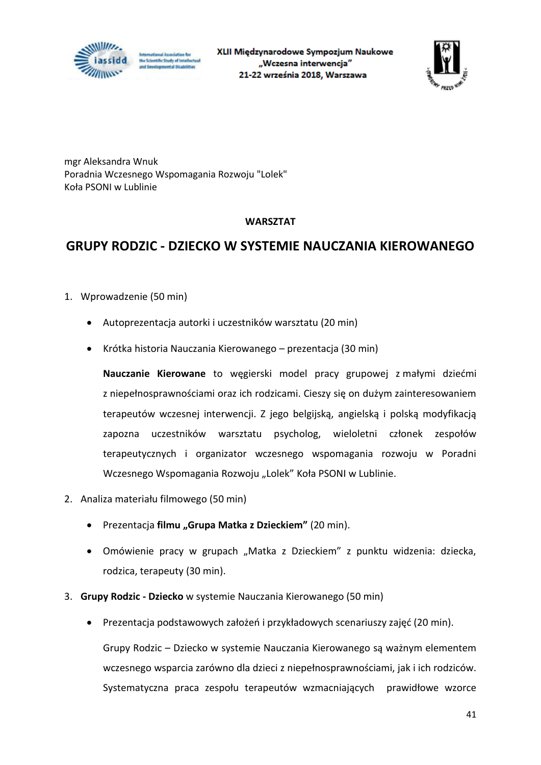



mgr Aleksandra Wnuk Poradnia Wczesnego Wspomagania Rozwoju "Lolek" Koła PSONI w Lublinie

#### **WARSZTAT**

#### **GRUPY RODZIC - DZIECKO W SYSTEMIE NAUCZANIA KIEROWANEGO**

- 1. Wprowadzenie (50 min)
	- Autoprezentacja autorki i uczestników warsztatu (20 min)
	- Krótka historia Nauczania Kierowanego prezentacja (30 min)

**Nauczanie Kierowane** to węgierski model pracy grupowej z małymi dziećmi z niepełnosprawnościami oraz ich rodzicami. Cieszy się on dużym zainteresowaniem terapeutów wczesnej interwencji. Z jego belgijską, angielską i polską modyfikacją zapozna uczestników warsztatu psycholog, wieloletni członek zespołów terapeutycznych i organizator wczesnego wspomagania rozwoju w Poradni Wczesnego Wspomagania Rozwoju "Lolek" Koła PSONI w Lublinie.

- 2. Analiza materiału filmowego (50 min)
	- Prezentacja **filmu "Grupa Matka z Dzieckiem"** (20 min).
	- Omówienie pracy w grupach "Matka z Dzieckiem" z punktu widzenia: dziecka, rodzica, terapeuty (30 min).
- 3. **Grupy Rodzic - Dziecko** w systemie Nauczania Kierowanego (50 min)
	- Prezentacja podstawowych założeń i przykładowych scenariuszy zajęć (20 min).

Grupy Rodzic – Dziecko w systemie Nauczania Kierowanego są ważnym elementem wczesnego wsparcia zarówno dla dzieci z niepełnosprawnościami, jak i ich rodziców. Systematyczna praca zespołu terapeutów wzmacniających prawidłowe wzorce